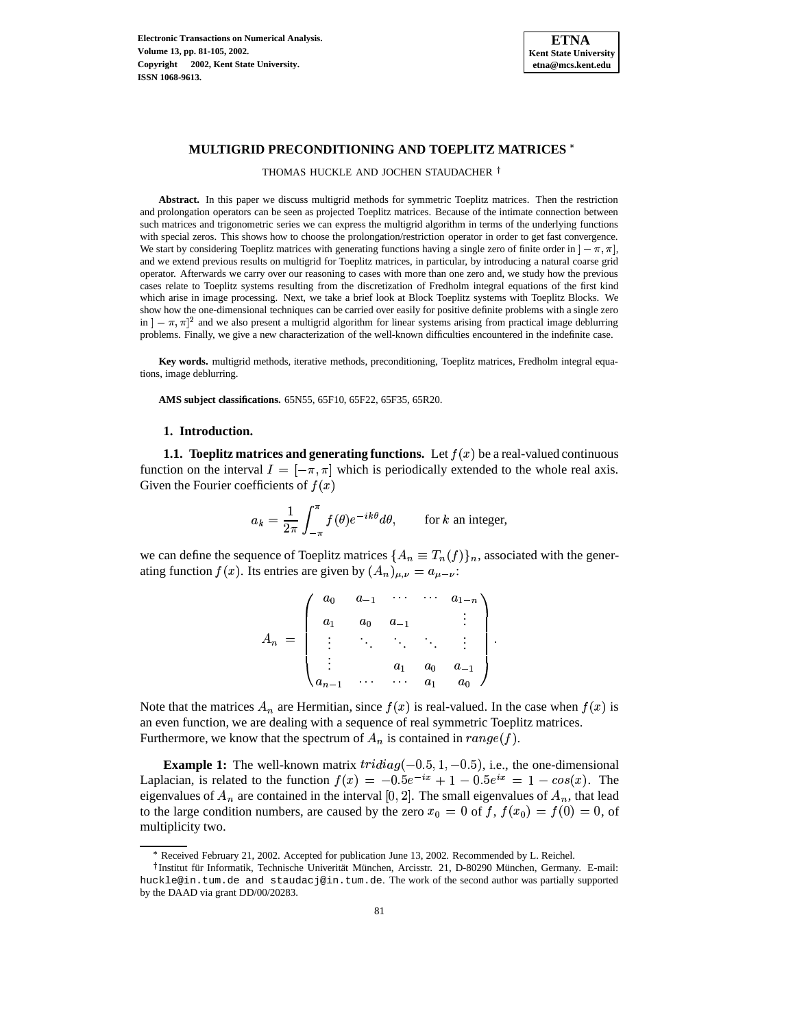

# **MULTIGRID PRECONDITIONING AND TOEPLITZ MATRICES**

THOMAS HUCKLE AND JOCHEN STAUDACHER<sup>†</sup>

**Abstract.** In this paper we discuss multigrid methods for symmetric Toeplitz matrices. Then the restriction and prolongation operators can be seen as projected Toeplitz matrices. Because of the intimate connection between such matrices and trigonometric series we can express the multigrid algorithm in terms of the underlying functions with special zeros. This shows how to choose the prolongation/restriction operator in order to get fast convergence. We start by considering Toeplitz matrices with generating functions having a single zero of finite order in  $]-\pi, \pi|$ , and we extend previous results on multigrid for Toeplitz matrices, in particular, by introducing a natural coarse grid operator. Afterwards we carry over our reasoning to cases with more than one zero and, we study how the previous cases relate to Toeplitz systems resulting from the discretization of Fredholm integral equations of the first kind which arise in image processing. Next, we take a brief look at Block Toeplitz systems with Toeplitz Blocks. We show how the one-dimensional techniques can be carried over easily for positive definite problems with a single zero in  $[-\pi, \pi]^2$  and we also present a multigrid algorithm for linear systems arising from practical image deblurring problems. Finally, we give a new characterization of the well-known difficulties encountered in the indefinite case.

**Key words.** multigrid methods, iterative methods, preconditioning, Toeplitz matrices, Fredholm integral equations, image deblurring.

**AMS subject classifications.** 65N55, 65F10, 65F22, 65F35, 65R20.

#### **1. Introduction.**

**1.1. Toeplitz matrices and generating functions.** Let  $f(x)$  be a real-valued continuous function on the interval  $I = [-\pi, \pi]$  which is periodically extended to the whole real axis. Given the Fourier coefficients of  $f(x)$ 

$$
a_k = \frac{1}{2\pi} \int_{-\pi}^{\pi} f(\theta) e^{-ik\theta} d\theta, \quad \text{for } k \text{ an integer,}
$$

we can define the sequence of Toeplitz matrices  $\{A_n \equiv T_n(f)\}_n$ , associated with the generating function  $f(x)$ . Its entries are given by  $(A_n)_{\mu,\nu} = a_{\mu-\nu}$ :

$$
A_n = \begin{pmatrix} a_0 & a_{-1} & \cdots & \cdots & a_{1-n} \\ a_1 & a_0 & a_{-1} & & \vdots \\ \vdots & \ddots & \ddots & \ddots & \vdots \\ a_1 & a_0 & a_{-1} \\ a_{n-1} & \cdots & \cdots & a_1 & a_0 \end{pmatrix}.
$$

Note that the matrices  $A_n$  are Hermitian, since  $f(x)$  is real-valued. In the case when  $f(x)$  is an even function, we are dealing with a sequence of real symmetric Toeplitz matrices. Furthermore, we know that the spectrum of  $A_n$  is contained in  $range(f)$ .

**Example 1:** The well-known matrix  $tridiag(-0.5, 1, -0.5)$ , i.e., the one-dimensional **Example 1:** The well-known matrix  $tridiag(-0.5, 1, -0.5)$ , i.e., the one-dimensional Laplacian, is related to the function  $f(x) = -0.5e^{-ix} + 1 - 0.5e^{ix} = 1 - \cos(x)$ . The Laplacian, is related to the function  $f(x) = -0.5e^{-ix} + 1 - 0.5e^{ix} = 1 - \cos(x)$ . The eigenvalues of  $A_n$ , that lead to the large condition numbers, are caused by the zero  $x_0 = 0$  of f,  $f(x_0) = f(0) = 0$ , of multiplicity two.

<sup>r</sup> Received February 21, 2002. Accepted for publication June 13, 2002. Recommended by L. Reichel.

<sup>&</sup>lt;sup>†</sup> Institut für Informatik, Technische Univerität München, Arcisstr. 21, D-80290 München, Germany. E-mail: huckle@in.tum.de and staudacj@in.tum.de. The work of the second author was partially supported by the DAAD via grant DD/00/20283.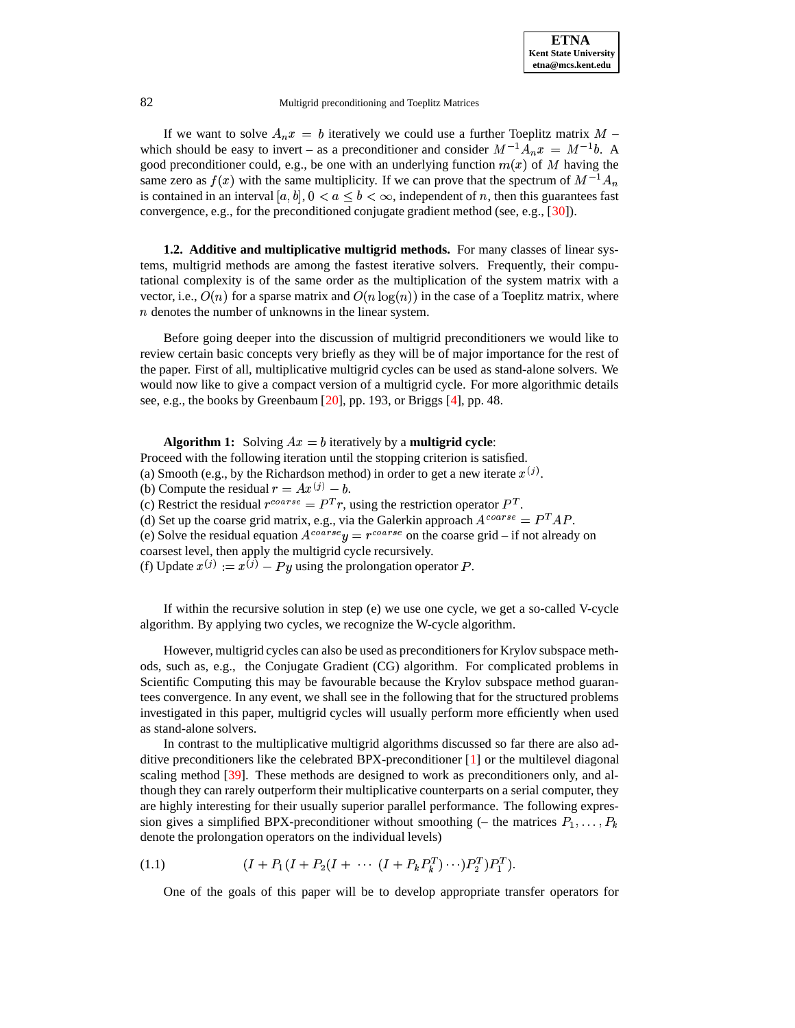If we want to solve  $A_n x = b$  iteratively we could use a further Toeplitz matrix  $\mathcal{L}=\mathcal{L}^{\text{max}}$ which should be easy to invert – as a preconditioner and consider  $M^{-1}A_n x = M^{-1}b$ . A good preconditioner could, e.g., be one with an underlying function  $m(x)$  of M having the same zero as  $f(x)$  with the same multiplicity. If we can prove that the spectrum of  $M^{-1}A_n$ is contained in an interval  $[a, b]$ ,  $0 < a \leq b < \infty$ , independent of n, then this guarantees fast convergence, e.g., for the preconditioned conjugate gradient method (see, e.g., [\[30\]](#page-24-0)).

**1.2. Additive and multiplicative multigrid methods.** For many classes of linear systems, multigrid methods are among the fastest iterative solvers. Frequently, their computational complexity is of the same order as the multiplication of the system matrix with a vector, i.e.,  $O(n)$  for a sparse matrix and  $O(n \log(n))$  in the case of a Toeplitz matrix, where  $n$  denotes the number of unknowns in the linear system.

Before going deeper into the discussion of multigrid preconditioners we would like to review certain basic concepts very briefly as they will be of major importance for the rest of the paper. First of all, multiplicative multigrid cycles can be used as stand-alone solvers. We would now like to give a compact version of a multigrid cycle. For more algorithmic details see, e.g., the books by Greenbaum [\[20\]](#page-23-0), pp. 193, or Briggs [\[4\]](#page-23-1), pp. 48.

**Algorithm 1:** Solving  $Ax = b$  iteratively by a **multigrid cycle**: Proceed with the following iteration until the stopping criterion is satisfied. (a) Smooth (e.g., by the Richardson method) in order to get a new iterate  $x^{(j)}$ . (b) Compute the residual  $r = Ax^{(j)} - b$ . (c) Restrict the residual  $r^{coarse} = P^T r$ , using the restriction operator  $P^T$ . (d) Set up the coarse grid matrix, e.g., via the Galerkin approach  $A^{coarse} = P^T A P$ . (e) Solve the residual equation  $A^{coarse} y = r^{coarse}$  on the coarse grid – if not already on coarsest level, then apply the multigrid cycle recursively. (f) Update  $x^{(j)} := x^{(j)} - Py$  using the prolongation operator P.

If within the recursive solution in step (e) we use one cycle, we get a so-called V-cycle algorithm. By applying two cycles, we recognize the W-cycle algorithm.

However, multigrid cycles can also be used as preconditionersfor Krylov subspace methods, such as, e.g., the Conjugate Gradient (CG) algorithm. For complicated problems in Scientific Computing this may be favourable because the Krylov subspace method guarantees convergence. In any event, we shall see in the following that for the structured problems investigated in this paper, multigrid cycles will usually perform more efficiently when used as stand-alone solvers.

In contrast to the multiplicative multigrid algorithms discussed so far there are also additive preconditioners like the celebrated BPX-preconditioner [\[1\]](#page-23-2) or the multilevel diagonal scaling method [\[39\]](#page-24-1). These methods are designed to work as preconditioners only, and although they can rarely outperform their multiplicative counterparts on a serial computer, they are highly interesting for their usually superior parallel performance. The following expression gives a simplified BPX-preconditioner without smoothing (– the matrices  $P_1, \ldots, P_k$ <br>denote the prolongation operators on the individual levels) denote the prolongation operators on the individual levels)

$$
(1.1) \qquad (I + P_1(I + P_2(I + \cdots (I + P_k P_k^T) \cdots) P_2^T) P_1^T).
$$

One of the goals of this paper will be to develop appropriate transfer operators for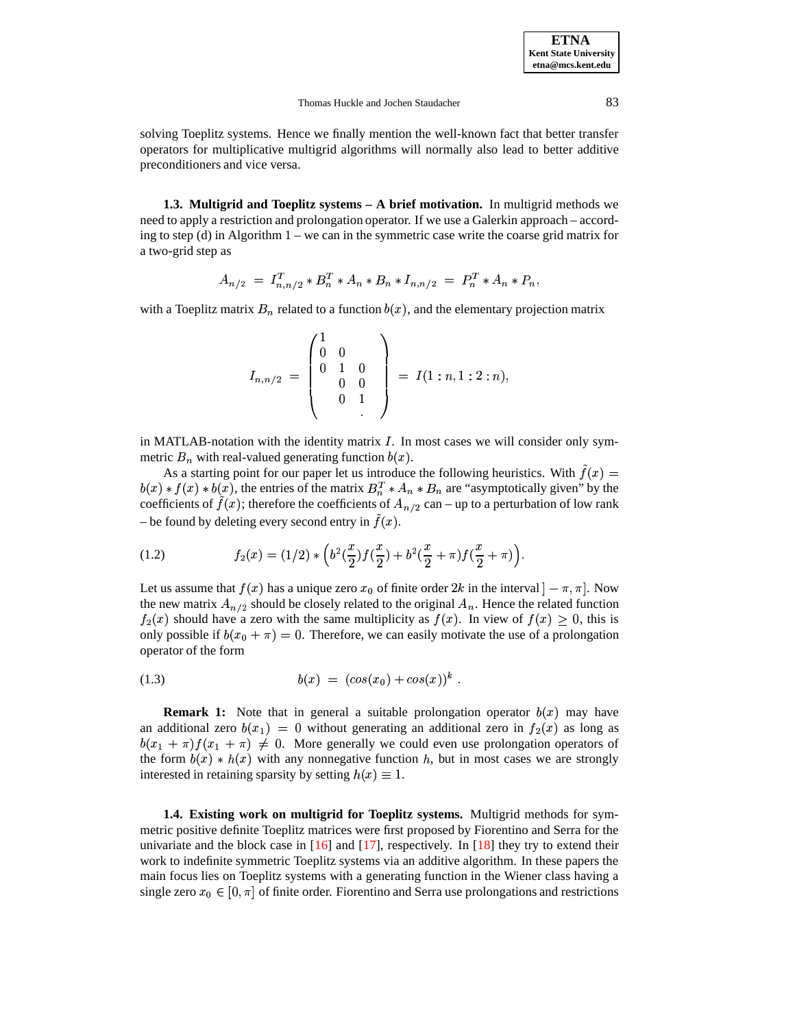**ETNA Kent State University etna@mcs.kent.edu**

#### Thomas Huckle and Jochen Staudacher 83

solving Toeplitz systems. Hence we finally mention the well-known fact that better transfer operators for multiplicative multigrid algorithms will normally also lead to better additive preconditioners and vice versa.

**1.3. Multigrid and Toeplitz systems – A brief motivation.** In multigrid methods we need to apply a restriction and prolongation operator. If we use a Galerkin approach – according to step (d) in Algorithm 1 – we can in the symmetric case write the coarse grid matrix for a two-grid step as

$$
A_{n/2} = I_{n,n/2}^T * B_n^T * A_n * B_n * I_{n,n/2} = P_n^T * A_n * P_n,
$$

with a Toeplitz matrix  $B_n$  related to a function  $b(x)$ , and the elementary projection matrix

$$
I_{n,n/2} = \begin{pmatrix} 1 & & & \\ 0 & 0 & & \\ 0 & 1 & 0 & \\ & 0 & 0 & \\ & & 0 & 1 \end{pmatrix} = I(1:n,1:2:n),
$$

in MATLAB-notation with the identity matrix  $I$ . In most cases we will consider only symmetric  $B_n$  with real-valued generating function  $b(x)$ .

As a starting point for our paper let us introduce the following heuristics. With  $\tilde{f}(x)$  =  $b(x) * f(x) * b(x),$  the  $b(x)$ , the entries of the matrix  $B_n^T * A_n * B_n$  are "asymptotically given" by the coefficients of  $f(x)$ ; therefore the coefficients of  $A_{n/2}$  can – up to a perturbation of low rank – be found by deleting every second entry in  $\tilde{f}(x)$ .

<span id="page-2-1"></span>(1.2) 
$$
f_2(x) = (1/2) * \left(b^2(\frac{x}{2})f(\frac{x}{2}) + b^2(\frac{x}{2} + \pi)f(\frac{x}{2} + \pi)\right).
$$

Let us assume that  $f(x)$  has a unique zero  $x_0$  of finite order  $2k$  in the interval  $]-\pi, \pi]$ . Now the new matrix  $A_{n/2}$  should be closely related to the original  $A_n$ . Hence the related function  $f_2(x)$  should have a zero with the same multiplicity as  $f(x)$ . In view of  $f(x) \geq 0$ , this is only possible if  $b(x_0 + \pi) = 0$ . Therefore, we can easily motivate the use of a prolongation operator of the form

<span id="page-2-0"></span>(1.3) 
$$
b(x) = (cos(x_0) + cos(x))^k.
$$

**Remark 1:** Note that in general a suitable prolongation operator  $b(x)$  may have an additional zero  $b(x_1) = 0$  without generating an additional zero in  $f_2(x)$  as long as  $b(x_1 + \pi) f(x_1 + \pi) \neq 0$ . More generally we could even use prolongation operators of the form  $b(x) * h(x)$  with any nonnegative function h, but in most cases we are strongly interested in retaining sparsity by setting  $h(x) \equiv 1$ .

**1.4. Existing work on multigrid for Toeplitz systems.** Multigrid methods for symmetric positive definite Toeplitz matrices were first proposed by Fiorentino and Serra for the univariate and the block case in  $[16]$  and  $[17]$ , respectively. In  $[18]$  they try to extend their work to indefinite symmetric Toeplitz systems via an additive algorithm. In these papers the main focus lies on Toeplitz systems with a generating function in the Wiener class having a single zero  $x_0 \in [0, \pi]$  of finite order. Fiorentino and Serra use prolongations and restrictions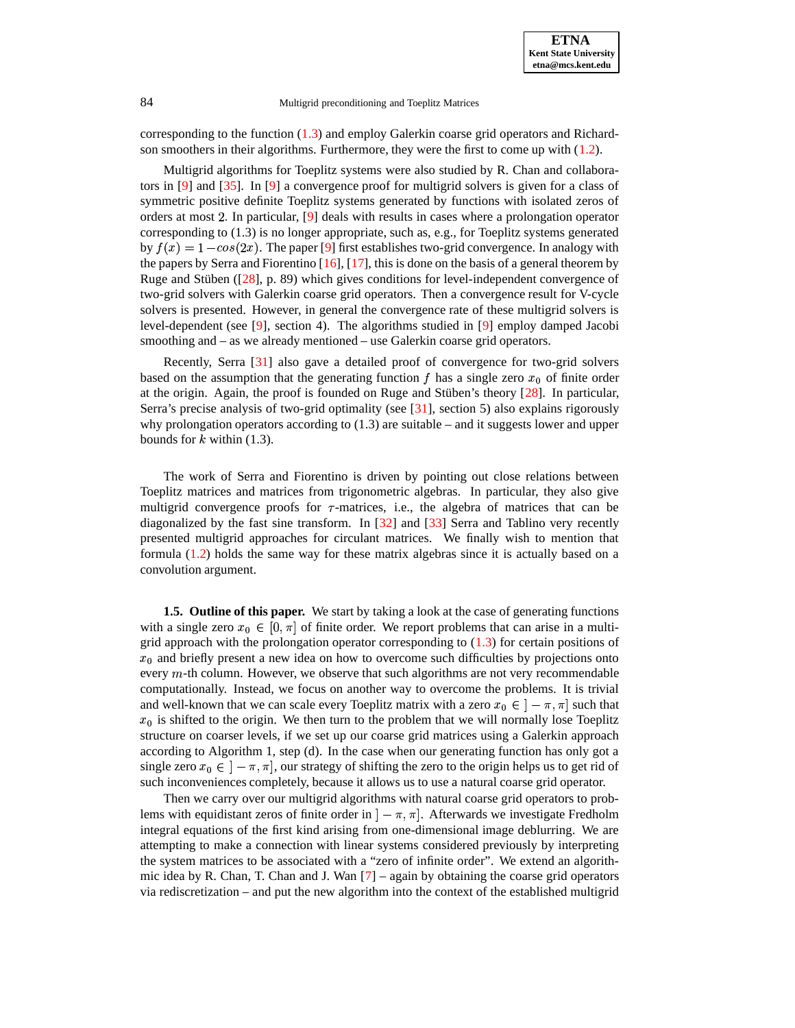corresponding to the function [\(1.3\)](#page-2-0) and employ Galerkin coarse grid operators and Richardson smoothers in their algorithms. Furthermore, they were the first to come up with [\(1.2\)](#page-2-1).

Multigrid algorithms for Toeplitz systems were also studied by R. Chan and collaborators in [\[9\]](#page-23-6) and [\[35\]](#page-24-2). In [\[9\]](#page-23-6) a convergence proof for multigrid solvers is given for a class of symmetric positive definite Toeplitz systems generated by functions with isolated zeros of orders at most 2. In particular, [\[9\]](#page-23-6) deals with results in cases where a prolongation operator by  $f(x) = 1 - \cos(2x)$ . The paper [\[9\]](#page-23-6) first establishes two-grid convergence. In analogy with corresponding to (1.3) is no longer appropriate, such as, e.g., for Toeplitz systems generated the papers by Serra and Fiorentino  $[16]$ ,  $[17]$ , this is done on the basis of a general theorem by Ruge and Stüben  $(28]$ , p. 89) which gives conditions for level-independent convergence of two-grid solvers with Galerkin coarse grid operators. Then a convergence result for V-cycle solvers is presented. However, in general the convergence rate of these multigrid solvers is level-dependent (see [\[9\]](#page-23-6), section 4). The algorithms studied in [\[9\]](#page-23-6) employ damped Jacobi smoothing and – as we already mentioned – use Galerkin coarse grid operators.

Recently, Serra [\[31\]](#page-24-4) also gave a detailed proof of convergence for two-grid solvers based on the assumption that the generating function  $f$  has a single zero  $x_0$  of finite order at the origin. Again, the proof is founded on Ruge and Stüben's theory  $[28]$ . In particular, Serra's precise analysis of two-grid optimality (see [\[31\]](#page-24-4), section 5) also explains rigorously why prolongation operators according to  $(1.3)$  are suitable – and it suggests lower and upper bounds for  $k$  within (1.3).

The work of Serra and Fiorentino is driven by pointing out close relations between Toeplitz matrices and matrices from trigonometric algebras. In particular, they also give multigrid convergence proofs for  $\tau$ -matrices, i.e., the algebra of matrices that can be diagonalized by the fast sine transform. In [\[32\]](#page-24-5) and [\[33\]](#page-24-6) Serra and Tablino very recently presented multigrid approaches for circulant matrices. We finally wish to mention that formula [\(1.2\)](#page-2-1) holds the same way for these matrix algebras since it is actually based on a convolution argument.

**1.5. Outline of this paper.** We start by taking a look at the case of generating functions with a single zero  $x_0 \in [0, \pi]$  of finite order. We report problems that can arise in a multigrid approach with the prolongation operator corresponding to  $(1.3)$  for certain positions of  $x_0$  and briefly present a new idea on how to overcome such difficulties by projections onto every  $m$ -th column. However, we observe that such algorithms are not very recommendable computationally. Instead, we focus on another way to overcome the problems. It is trivial and well-known that we can scale every Toeplitz matrix with a zero  $x_0 \in ]-\pi,\pi]$  such that  $x_0$  is shifted to the origin. We then turn to the problem that we will normally lose Toeplitz structure on coarser levels, if we set up our coarse grid matrices using a Galerkin approach according to Algorithm 1, step (d). In the case when our generating function has only got a single zero  $x_0 \in ]-\pi, \pi]$ , our strategy of shifting the zero to the origin helps us to get rid of such inconveniences completely, because it allows us to use a natural coarse grid operator.

Then we carry over our multigrid algorithms with natural coarse grid operators to problems with equidistant zeros of finite order in  $] - \pi, \pi]$ . Afterwards we investigate Fredholm integral equations of the first kind arising from one-dimensional image deblurring. We are attempting to make a connection with linear systems considered previously by interpreting the system matrices to be associated with a "zero of infinite order". We extend an algorithmic idea by R. Chan, T. Chan and J. Wan [\[7\]](#page-23-7) – again by obtaining the coarse grid operators via rediscretization – and put the new algorithm into the context of the established multigrid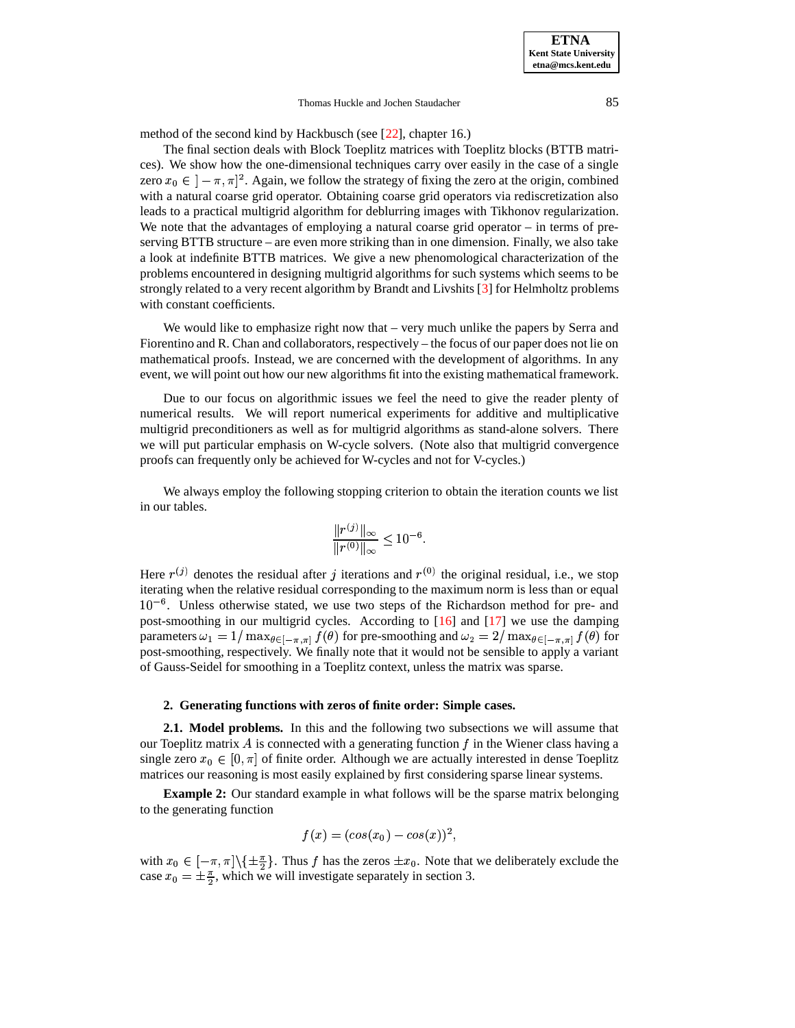method of the second kind by Hackbusch (see [\[22\]](#page-23-8), chapter 16.)

The final section deals with Block Toeplitz matrices with Toeplitz blocks (BTTB matrices). We show how the one-dimensional techniques carry over easily in the case of a single zero  $x_0 \in [-\pi, \pi]^2$ . Again, we follow the strategy of fixing the zero at the origin, combined with a natural coarse grid operator. Obtaining coarse grid operators via rediscretization also leads to a practical multigrid algorithm for deblurring images with Tikhonov regularization. We note that the advantages of employing a natural coarse grid operator – in terms of preserving BTTB structure – are even more striking than in one dimension. Finally, we also take a look at indefinite BTTB matrices. We give a new phenomological characterization of the problems encountered in designing multigrid algorithms for such systems which seems to be strongly related to a very recent algorithm by Brandt and Livshits [\[3\]](#page-23-9) for Helmholtz problems with constant coefficients.

We would like to emphasize right now that – very much unlike the papers by Serra and Fiorentino and R. Chan and collaborators, respectively – the focus of our paper does not lie on mathematical proofs. Instead, we are concerned with the development of algorithms. In any event, we will point out how our new algorithms fit into the existing mathematical framework.

Due to our focus on algorithmic issues we feel the need to give the reader plenty of numerical results. We will report numerical experiments for additive and multiplicative multigrid preconditioners as well as for multigrid algorithms as stand-alone solvers. There we will put particular emphasis on W-cycle solvers. (Note also that multigrid convergence proofs can frequently only be achieved for W-cycles and not for V-cycles.)

We always employ the following stopping criterion to obtain the iteration counts we list in our tables.

$$
\frac{\|r^{(j)}\|_{\infty}}{\|r^{(0)}\|_{\infty}} \le 10^{-6}.
$$

Here  $r^{(j)}$  denotes the residual after j iterations and  $r^{(0)}$  the original residual, i.e., we stop iterating when the relative residual corresponding to the maximum norm is less than or equal  $10^{-6}$ . Unless otherwise stated, we use two steps of the Richardson method for pre- and post-smoothing in our multigrid cycles. According to [\[16\]](#page-23-3) and [\[17\]](#page-23-4) we use the damping parameters  $\omega_1 = 1/\max_{\theta \in [-\pi,\pi]} f(\theta)$  for pre-smoothing and  $\omega_2 = 2/\max_{\theta \in [-\pi,\pi]} f(\theta)$  for post-smoothing, respectively. We finally note that it would not be sensible to apply a variant of Gauss-Seidel for smoothing in a Toeplitz context, unless the matrix was sparse.

# **2. Generating functions with zeros of finite order: Simple cases.**

**2.1. Model problems.** In this and the following two subsections we will assume that our Toeplitz matrix  $\vec{A}$  is connected with a generating function  $\vec{f}$  in the Wiener class having a single zero  $x_0 \in [0, \pi]$  of finite order. Although we are actually interested in dense Toeplitz matrices our reasoning is most easily explained by first considering sparse linear systems.

**Example 2:** Our standard example in what follows will be the sparse matrix belonging to the generating function

$$
f(x) = (cos(x0) - cos(x))^{2},
$$

with  $x_0 \in [-\pi, \pi] \setminus \{\pm \frac{\pi}{2}\}.$  Thus f has the zeros  $\pm x_0$ . Note that we deliberately exclude the case  $x_0 = \pm \frac{\pi}{2}$ , which we will investigate separately in section 3.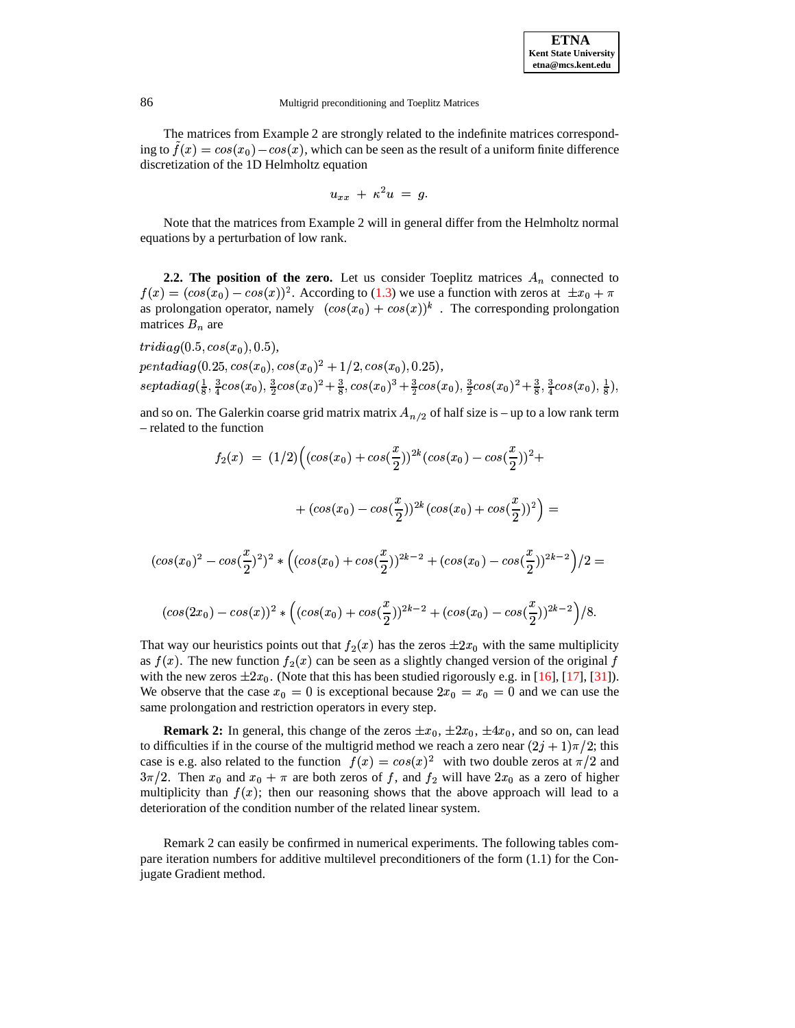The matrices from Example 2 are strongly related to the indefinite matrices corresponding to  $\tilde{f}(x) = cos(x_0) - cos(x)$ , which can be seen as the result of a uniform finite difference discretization of the 1D Helmholtz equation

$$
u_{xx} + \kappa^2 u = g.
$$

<sup>W</sup> Note that the matrices from Example 2 will in general differ from the Helmholtz normal equations by a perturbation of low rank.

**2.2.** The **position of the zero.** Let us consider Toeplitz matrices  $A_n$  connected to  $f(x) = (\cos(x_0) - \cos(x))^2$ . According to [\(1.3\)](#page-2-0) we use a function with zeros at  $\pm x_0 + \pi$ as prolongation operator, namely  $(cos(x_0) + cos(x))^k$ . The corresponding prolongation matrices  $B_n$  are

 $(cos$ 

$$
tridiag(0.5, cos(x0), 0.5),pentadiag(0.25, cos(x0), cos(x0)2 + 1/2, cos(x0), 0.25),septadiag( $\frac{1}{8}$ ,  $\frac{3}{4}cos(x_0)$ ,  $\frac{3}{2}cos(x_0)^2 + \frac{3}{8}$ ,  $cos(x_0)^3 + \frac{3}{2}cos(x_0)$ ,  $\frac{3}{2}cos(x_0)^2 + \frac{3}{8}$ ,  $\frac{3}{4}cos(x_0)$ ,  $\frac{1}{8}$ ),
$$

and so on. The Galerkin coarse grid matrix matrix  $A_{n/2}$  of half size is – up to a low rank term – related to the function

$$
f_2(x) = (1/2) \Big( (\cos(x_0) + \cos(\frac{x}{2}))^{2k} (\cos(x_0) - \cos(\frac{x}{2}))^2 +
$$
  

$$
+ (\cos(x_0) - \cos(\frac{x}{2}))^{2k} (\cos(x_0) + \cos(\frac{x}{2}))^2 \Big) =
$$
  

$$
(x_0)^2 - \cos(\frac{x}{2})^2 \Big)^2 * \Big( (\cos(x_0) + \cos(\frac{x}{2}))^{2k-2} + (\cos(x_0) - \cos(\frac{x}{2}))^{2k-2} \Big) / 2 =
$$

$$
(cos(2x0) - cos(x))^{2} * ((cos(x0) + cos(\frac{x}{2}))^{2k-2} + (cos(x0) - cos(\frac{x}{2}))^{2k-2})/8.
$$

That way our heuristics points out that  $f_2(x)$  has the zeros  $\pm 2x_0$  with the same multiplicity as  $f(x)$ . The new function  $f_2(x)$  can be seen as a slightly changed version of the original f with the new zeros  $\pm 2x_0$ . (Note that this has been studied rigorously e.g. in [\[16\]](#page-23-3), [\[17\]](#page-23-4), [\[31\]](#page-24-4)). We observe that the case  $x_0 = 0$  is exceptional because  $2x_0 = x_0 = 0$  and we can use the same prolongation and restriction operators in every step.

**Remark 2:** In general, this change of the zeros  $\pm x_0$ ,  $\pm 2x_0$ ,  $\pm 4x_0$ , and so on, can lead to difficulties if in the course of the multigrid method we reach a zero near  $(2j + 1)\pi/2$ ; this case is e.g. also related to the function  $f(x) = cos(x)^2$  with two double zeros at  $\pi/2$  and  $3\pi/2$ . Then  $x_0$  and  $x_0 + \pi$  are both zeros of f, and  $f_2$  will have  $2x_0$  as a zero of higher multiplicity than  $f(x)$ ; then our reasoning shows that the above approach will lead to a deterioration of the condition number of the related linear system.

Remark 2 can easily be confirmed in numerical experiments. The following tables compare iteration numbers for additive multilevel preconditioners of the form (1.1) for the Conjugate Gradient method.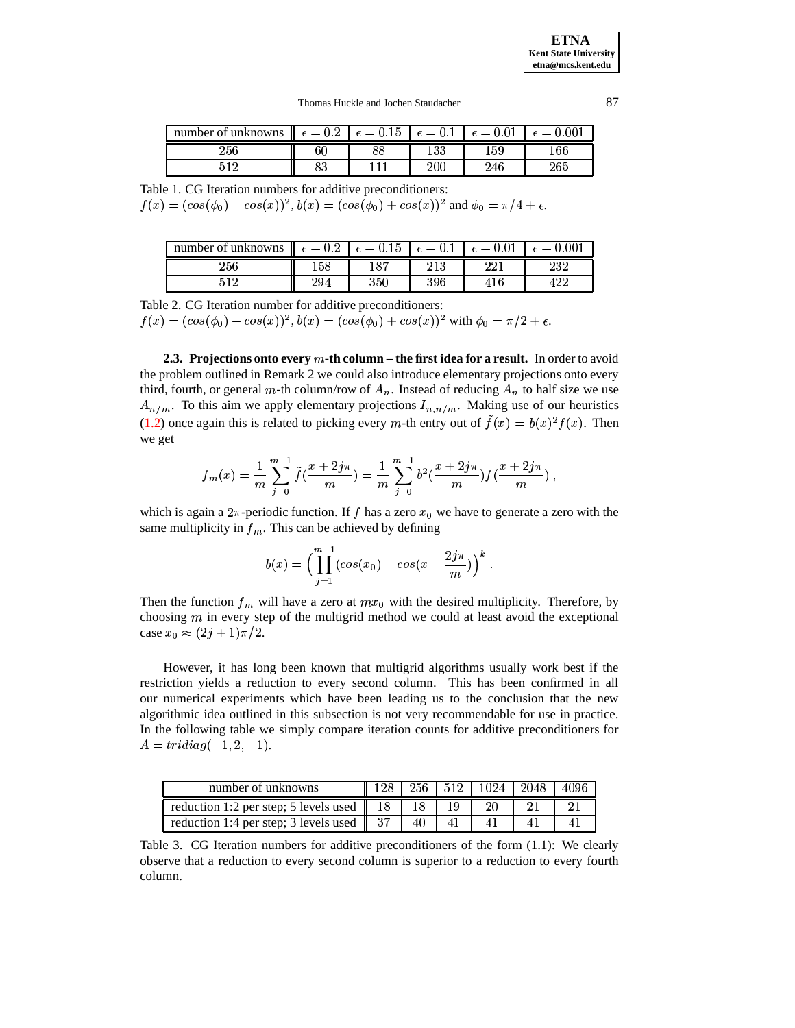**ETNA Kent State University etna@mcs.kent.edu**

Thomas Huckle and Jochen Staudacher 87

| number of unknowns $\ \epsilon = 0.2 \ \epsilon = 0.15 \ \epsilon = 0.1$ |          |    |     | $\epsilon = 0.01$ | $= 0.001$  |
|--------------------------------------------------------------------------|----------|----|-----|-------------------|------------|
| $^{256}$                                                                 | 60       | ೦೦ | 133 | $^{159}$          | 166        |
|                                                                          | ດໆ<br>oə |    | 200 | 246               | $^{265}\,$ |

Table 1. CG Iteration numbers for additive preconditioners:

 $f(x) = (cos(\phi_0) - cos(x))^2$ ,  $b(x) = (cos(\phi_0) + cos(x))^2$  and  $\phi_0 = \pi/4 + \epsilon$ .

| number of unknowns $\ \epsilon = 0.2\ $ |     | $\epsilon = 0.15$ | $\epsilon = 0.1$ | $= 0.01$ | 0.001     |
|-----------------------------------------|-----|-------------------|------------------|----------|-----------|
| 256                                     |     | 105               | י ד<br>∠⊥ບ       | ററു      | ററ<br>404 |
|                                         | 294 | $_{350}$          | 396              |          |           |

Table 2. CG Iteration number for additive preconditioners:

 $f(x) = (cos(\phi_0) - cos(x))^2$ ,  $b(x) = (cos(\phi_0) + cos(x))^2$  with  $\phi_0 = \pi/2 + \epsilon$ .

**2.3. Projections onto every** m-th **column** – the first idea for a result. In order to avoid the problem outlined in Remark 2 we could also introduce elementary projections onto every third, fourth, or general m-th column/row of  $A_n$ . Instead of reducing  $A_n$  to half size we use  $A_{n/m}$ . To this aim we apply elementary projections  $I_{n,n/m}$ . Making use of our heuristics [\(1.2\)](#page-2-1) once again this is related to picking every m-th entry out of  $\tilde{f}(x) = b(x)^2 f(x)$ . Then we get

$$
f_m(x) = \frac{1}{m} \sum_{j=0}^{m-1} \tilde{f}(\frac{x+2j\pi}{m}) = \frac{1}{m} \sum_{j=0}^{m-1} b^2 (\frac{x+2j\pi}{m}) f(\frac{x+2j\pi}{m}) ,
$$

which is again a  $2\pi$ -periodic function. If f has a zero  $x_0$  we have to generate a zero with the same multiplicity in  $f_m$ . This can be achieved by defining

$$
b(x) = \Big(\prod_{j=1}^{m-1} (\cos(x_0) - \cos(x - \frac{2j\pi}{m})\Big)^k.
$$

Then the function  $f_m$  will have a zero at  $mx_0$  with the desired multiplicity. Therefore, by choosing  $m$  in every step of the multigrid method we could at least avoid the exceptional case  $x_0 \approx (2j+1)\pi/2$ .

However, it has long been known that multigrid algorithms usually work best if the restriction yields a reduction to every second column. This has been confirmed in all our numerical experiments which have been leading us to the conclusion that the new algorithmic idea outlined in this subsection is not very recommendable for use in practice. In the following table we simply compare iteration counts for additive preconditioners for  $A = tridiag(-1, 2, -1).$ 

| number of unknowns                                                  |    |  | $128$   256   512   1024   2048 | -4096 |
|---------------------------------------------------------------------|----|--|---------------------------------|-------|
| reduction 1:2 per step; 5 levels used $\parallel$ 18 $\parallel$ 18 |    |  |                                 |       |
| reduction 1:4 per step; 3 levels used $\parallel$ 37 $\parallel$    | 40 |  |                                 |       |

Table 3. CG Iteration numbers for additive preconditioners of the form (1.1): We clearly observe that a reduction to every second column is superior to a reduction to every fourth column.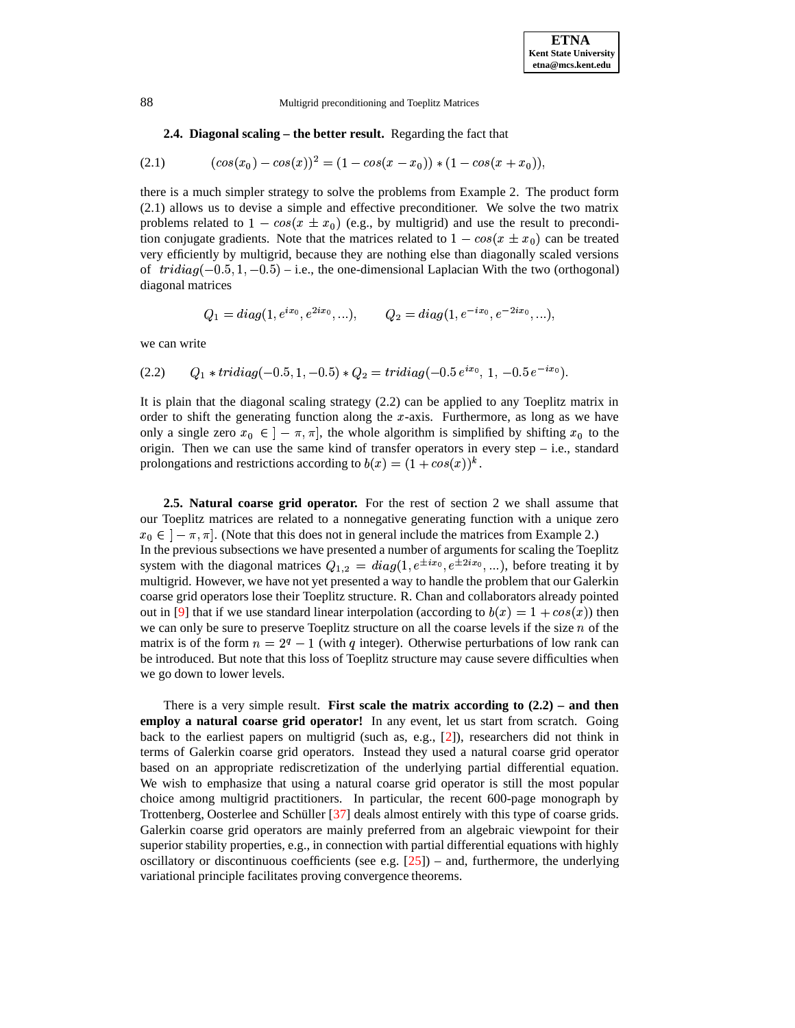# **2.4. Diagonal scaling – the better result.** Regarding the fact that

$$
(2.1) \qquad \qquad (cos(x_0) - cos(x))^2 = (1 - cos(x - x_0)) * (1 - cos(x + x_0)),
$$

there is a much simpler strategy to solve the problems from Example 2. The product form (2.1) allows us to devise a simple and effective preconditioner. We solve the two matrix problems related to  $1 - \cos(x \pm x_0)$  (e.g., by multigrid) and use the result to precondition conjugate gradients. Note that the matrices related to  $1 - \cos(x \pm x_0)$  can be treated very efficiently by multigrid, because they are nothing else than diagonally scaled versions of  $\text{tridiag}(-0.5, 1, -0.5)$  – i.e., the one-dimensional Laplacian With the two (orthogonal) diagonal matrices diagonal matrices

$$
Q_1 = diag(1, e^{ix_0}, e^{2ix_0}, \ldots),
$$
  $Q_2 = diag(1, e^{-ix_0}, e^{-2ix_0}, \ldots),$ 

we can write

(2.2) 
$$
Q_1 * tridiag(-0.5, 1, -0.5) * Q_2 = tridiag(-0.5 e^{ix_0}, 1, -0.5 e^{-ix_0}).
$$

It is plain that the diagonal scaling strategy (2.2) can be applied to any Toeplitz matrix in order to shift the generating function along the  $x$ -axis. Furthermore, as long as we have only a single zero  $x_0 \in ]-\pi, \pi]$ , the whole algorithm is simplified by shifting  $x_0$  to the origin. Then we can use the same kind of transfer operators in every step  $-$  i.e., standard prolongations and restrictions according to  $b(x) = (1 + cos(x))^k$ .

**2.5. Natural coarse grid operator.** For the rest of section 2 we shall assume that our Toeplitz matrices are related to a nonnegative generating function with a unique zero  $x_0 \in [-\pi, \pi]$ . (Note that this does not in general include the matrices from Example 2.) In the previous subsections we have presented a number of arguments for scaling the Toeplitz In the previous subsections we have presented a number of<br>system with the diagonal matrices  $Q_{1,2} = diag(1, e^{\pm ix_0})$  $diag(1, e^{\pm ix_0}, e^{\pm 2ix_0}, ...)$ , before treating it by daway to handle the problem that our Galerkin multigrid. However, we have not yet presented a way to handle the problem that our Galerkin coarse grid operators lose their Toeplitz structure. R. Chan and collaborators already pointed out in [\[9\]](#page-23-6) that if we use standard linear interpolation (according to  $b(x) = 1 + cos(x)$ ) then we can only be sure to preserve Toeplitz structure on all the coarse levels if the size  $n$  of the matrix is of the form  $n = 2<sup>q</sup> - 1$  (with q integer). Otherwise perturbations of low rank can be introduced. But note that this loss of Toeplitz structure may cause severe difficulties when we go down to lower levels.

There is a very simple result. **First scale the matrix according to (2.2) – and then employ a natural coarse grid operator!** In any event, let us start from scratch. Going back to the earliest papers on multigrid (such as, e.g.,  $[2]$ ), researchers did not think in terms of Galerkin coarse grid operators. Instead they used a natural coarse grid operator based on an appropriate rediscretization of the underlying partial differential equation. We wish to emphasize that using a natural coarse grid operator is still the most popular choice among multigrid practitioners. In particular, the recent 600-page monograph by Trottenberg, Oosterlee and Schüller  $[37]$  deals almost entirely with this type of coarse grids. Galerkin coarse grid operators are mainly preferred from an algebraic viewpoint for their superior stability properties, e.g., in connection with partial differential equations with highly oscillatory or discontinuous coefficients (see e.g.  $[25]$ ) – and, furthermore, the underlying variational principle facilitates proving convergence theorems.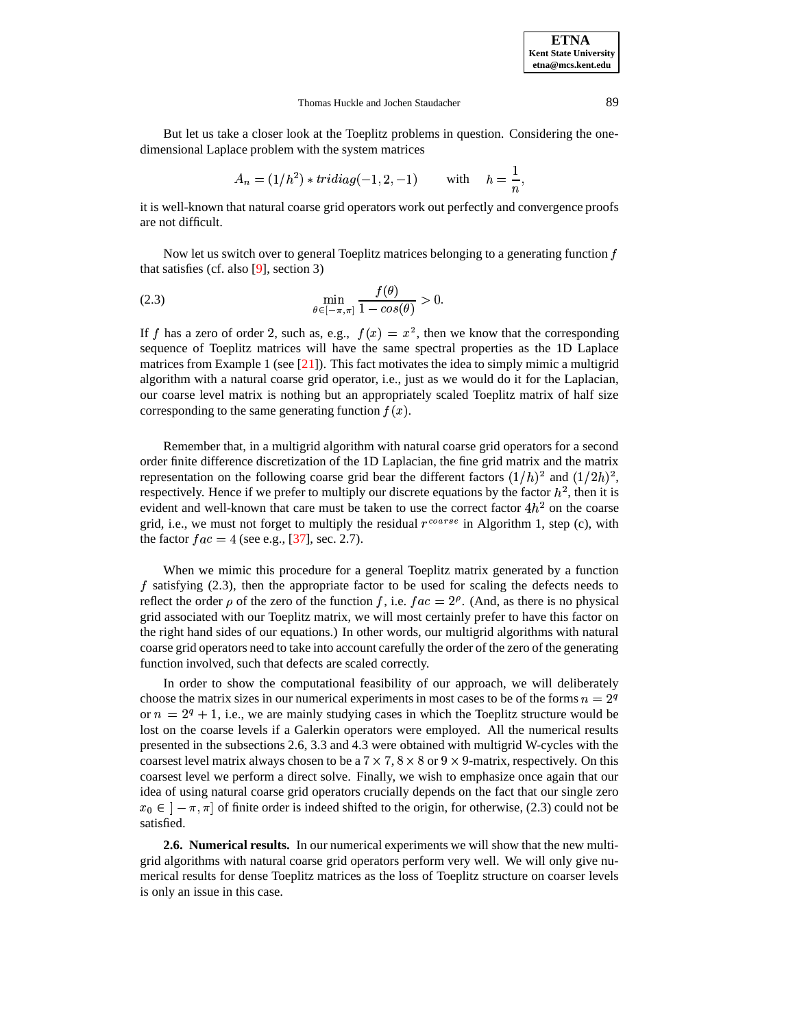But let us take a closer look at the Toeplitz problems in question. Considering the onedimensional Laplace problem with the system matrices

$$
A_n = (1/h^2) * tridiag(-1, 2, -1) \quad \text{with} \quad h = \frac{1}{n},
$$

it is well-known that natural coarse grid operators work out perfectly and convergence proofs are not difficult.

Now let us switch over to general Toeplitz matrices belonging to a generating function  $f$ that satisfies (cf. also [\[9\]](#page-23-6), section 3)

$$
\min_{\theta \in [-\pi,\pi]} \frac{f(\theta)}{1 - \cos(\theta)} > 0.
$$

If f has a zero of order 2, such as, e.g.,  $f(x) = x^2$ , then we know that the corresponding sequence of Toeplitz matrices will have the same spectral properties as the 1D Laplace matrices from Example 1 (see  $[21]$ ). This fact motivates the idea to simply mimic a multigrid algorithm with a natural coarse grid operator, i.e., just as we would do it for the Laplacian, our coarse level matrix is nothing but an appropriately scaled Toeplitz matrix of half size corresponding to the same generating function  $f(x)$ .

Remember that, in a multigrid algorithm with natural coarse grid operators for a second order finite difference discretization of the 1D Laplacian, the fine grid matrix and the matrix representation on the following coarse grid bear the different factors  $(1/h)^2$  and  $(1/2h)^2$ , respectively. Hence if we prefer to multiply our discrete equations by the factor  $h^2$ , then it is evident and well-known that care must be taken to use the correct factor  $4h^2$  on the coarse grid, i.e., we must not forget to multiply the residual  $r^{coarse}$  in Algorithm 1, step (c), with the factor  $fac = 4$  (see e.g., [\[37\]](#page-24-7), sec. 2.7).

When we mimic this procedure for a general Toeplitz matrix generated by a function  $f$  satisfying (2.3), then the appropriate factor to be used for scaling the defects needs to reflect the order  $\rho$  of the zero of the function f, i.e.  $fac = 2^{\rho}$ . (And, as there is no physical grid associated with our Toeplitz matrix, we will most certainly prefer to have this factor on the right hand sides of our equations.) In other words, our multigrid algorithms with natural coarse grid operators need to take into account carefully the order of the zero of the generating function involved, such that defects are scaled correctly.

In order to show the computational feasibility of our approach, we will deliberately choose the matrix sizes in our numerical experiments in most cases to be of the forms  $n = 2<sup>q</sup>$ or  $n = 2^q + 1$ , i.e., we are mainly studying cases in which the Toeplitz structure would be lost on the coarse levels if a Galerkin operators were employed. All the numerical results presented in the subsections 2.6, 3.3 and 4.3 were obtained with multigrid W-cycles with the coarsest level matrix always chosen to be a  $7 \times 7$ ,  $8 \times 8$  or  $9 \times 9$ -matrix, respectively. On this coarsest level we perform a direct solve. Finally, we wish to emphasize once again that our idea of using natural coarse grid operators crucially depends on the fact that our single zero  $x_0 \in (-\pi, \pi]$  of finite order is indeed shifted to the origin, for otherwise, (2.3) could not be satisfied.

**2.6. Numerical results.** In our numerical experiments we will show that the new multigrid algorithms with natural coarse grid operators perform very well. We will only give numerical results for dense Toeplitz matrices as the loss of Toeplitz structure on coarser levels is only an issue in this case.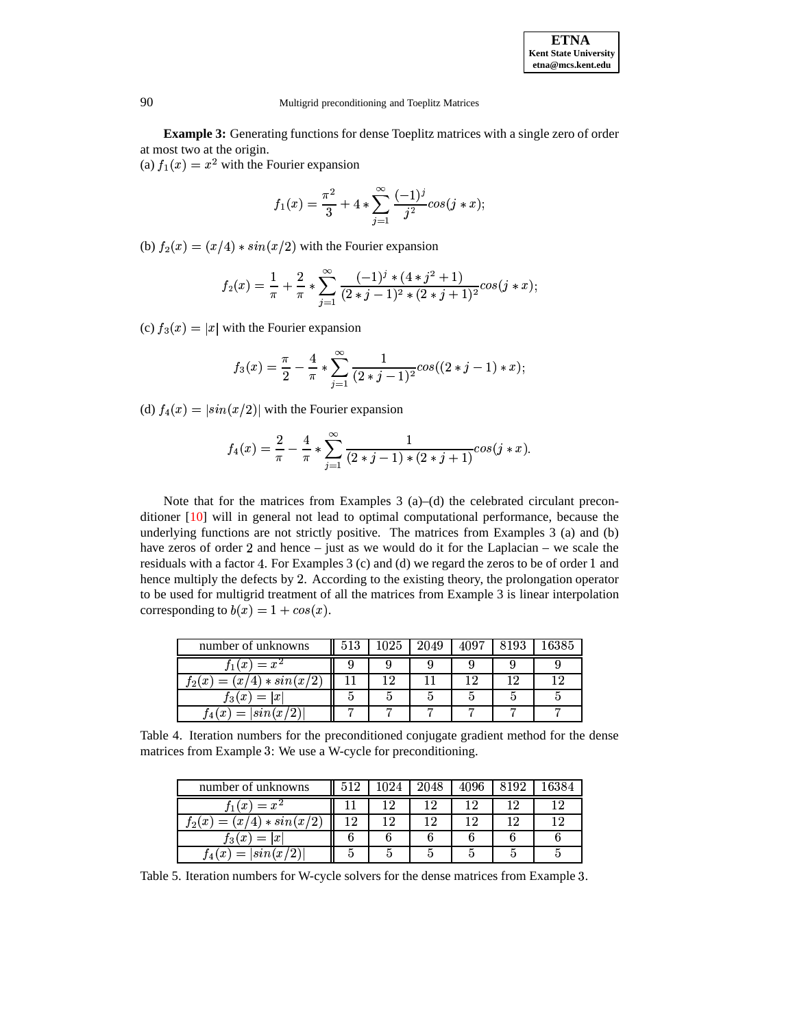**Example 3:** Generating functions for dense Toeplitz matrices with a single zero of order at most two at the origin.

(a)  $f_1(x) = x^2$  with the Fourier expansion

$$
f_1(x) = \frac{\pi^2}{3} + 4 * \sum_{j=1}^{\infty} \frac{(-1)^j}{j^2} \cos(j*x);
$$

(b)  $f_2(x) = (x/4) * sin(x/2)$  with the Fourier expansion

$$
f_2(x) = \frac{1}{\pi} + \frac{2}{\pi} * \sum_{j=1}^{\infty} \frac{(-1)^j \cdot (4 \cdot j^2 + 1)}{(2 \cdot j - 1)^2 \cdot (2 \cdot j + 1)^2} \cos(j \cdot x);
$$

(c)  $f_3(x) = |x|$  with the Fourier expansion

$$
f_3(x)=\frac{\pi}{2}-\frac{4}{\pi}*\sum_{j=1}^{\infty}\frac{1}{(2+j-1)^2}cos((2*j-1)*x);
$$

(d)  $f_4(x) = |\sin(x/2)|$  with the Fourier expansion

$$
f_4(x) = \frac{2}{\pi} - \frac{4}{\pi} * \sum_{j=1}^{\infty} \frac{1}{(2+j-1) * (2+j+1)} cos(j*x).
$$

Note that for the matrices from Examples  $3$  (a)–(d) the celebrated circulant preconditioner [\[10\]](#page-23-12) will in general not lead to optimal computational performance, because the underlying functions are not strictly positive. The matrices from Examples 3 (a) and (b) have zeros of order 2 and hence – just as we would do it for the Laplacian – we scale the residuals with a factor 4. For Examples 3 (c) and (d) we regard the zeros to be of order 1 and hence multiply the defects by 2. According to the existing theory, the prolongation operator to be used for multigrid treatment of all the matrices from Example 3 is linear interpolation corresponding to  $b(x) = 1 + cos(x)$ .

| number of unknowns            | 513 | 2049 | 4097 | $16385\,$ |
|-------------------------------|-----|------|------|-----------|
| $f_1(x) = x^2$                |     |      |      |           |
| $=(x/4)*sin(x/2)$<br>$f_2(x)$ |     |      |      |           |
| $f_3(x) =  x $                |     |      |      |           |
| $=  \sin(x/2) $<br>x(x)       |     |      |      |           |

Table 4. Iteration numbers for the preconditioned conjugate gradient method for the dense matrices from Example 3: We use a W-cycle for preconditioning.

| number of unknowns                    |  | 2048 | 4096 | 8192 |  |
|---------------------------------------|--|------|------|------|--|
| $f_1(x) = x^2$                        |  |      |      |      |  |
| $(x/4) * sin(x/2)$<br>$t_2(x)$<br>$=$ |  |      |      |      |  |
| $f_3(x)$<br>$=$<br>$\mathbf{x}$       |  |      |      |      |  |
| $\left  \sin(x) \right $              |  |      |      |      |  |

Table 5. Iteration numbers for W-cycle solvers for the dense matrices from Example 3.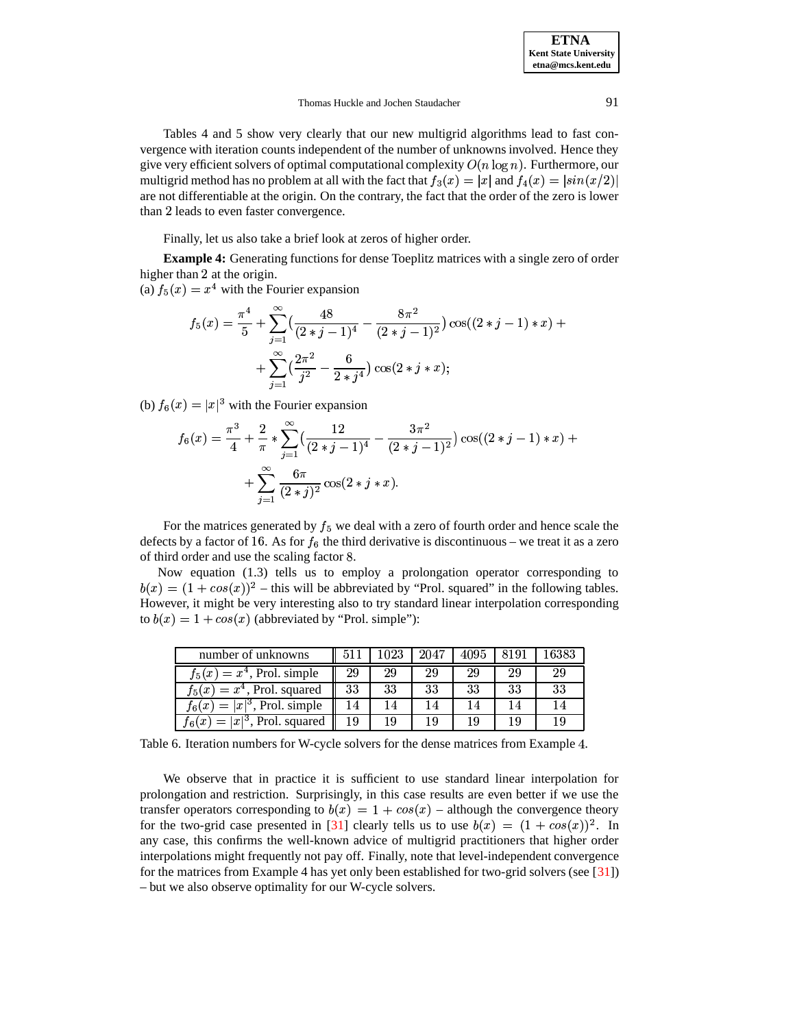Tables 4 and 5 show very clearly that our new multigrid algorithms lead to fast convergence with iteration counts independent of the number of unknowns involved. Hence they give very efficient solvers of optimal computational complexity  $O(n \log n)$ . Furthermore, our multigrid method has no problem at all with the fact that  $f_3(x) = |x|$  and  $f_4(x) = |sin(x/2)|$ are not differentiable at the origin. On the contrary, the fact that the order of the zero is lower than 2 leads to even faster convergence.

Finally, let us also take a brief look at zeros of higher order.

**Example 4:** Generating functions for dense Toeplitz matrices with a single zero of order higher than 2 at the origin.

(a)  $f_5(x) = x^4$  with the I <sup>4</sup> with the Fourier expansion

$$
f_5(x) = \frac{\pi^4}{5} + \sum_{j=1}^{\infty} \left( \frac{48}{(2+j-1)^4} - \frac{8\pi^2}{(2+j-1)^2} \right) \cos((2+j-1)*x) + \\ + \sum_{j=1}^{\infty} \left( \frac{2\pi^2}{j^2} - \frac{6}{2+j^4} \right) \cos(2+j*x);
$$

(b)  $f_6(x) = |x|^3$  with the Fourier expansion

$$
f_6(x) = \frac{\pi^3}{4} + \frac{2}{\pi} * \sum_{j=1}^{\infty} \left( \frac{12}{(2+j-1)^4} - \frac{3\pi^2}{(2+j-1)^2} \right) \cos((2+j-1)*x) + \\ + \sum_{j=1}^{\infty} \frac{6\pi}{(2+j)^2} \cos(2+j*x).
$$

For the matrices generated by  $f_5$  we deal with a zero of fourth order and hence scale the defects by a factor of 16. As for  $f_6$  the third derivative is discontinuous – we treat it as a zero of third order and use the scaling factor .

Now equation (1.3) tells us to employ a prolongation operator corresponding to  $b(x) = (1 + \cos(x))^2$  – this will be abbreviated by "Prol. squared" in the following tables. However, it might be very interesting also to try standard linear interpolation corresponding to  $b(x) = 1 + \cos(x)$  (abbreviated by "Prol. simple"):

| number of unknowns                          |    |    | 2047 | 4095 |    | 16383 |
|---------------------------------------------|----|----|------|------|----|-------|
| $f_5(x) = x^4$ , Prol. simple               | 29 | 29 | 29   | 29   | 29 | 29    |
| $f_5(x) = x^4$ , Prol. squared              | 33 | 33 | 33   | 33   | 33 | 33    |
| $f_6(x) =  x ^3$ , Prol. simple             | 14 | 14 |      |      |    | 14    |
| $=  x ^3$ , Prol. squared<br>$f_{\beta}(x)$ | 19 | 19 |      | 19   |    |       |

Table 6. Iteration numbers for W-cycle solvers for the dense matrices from Example 4.

We observe that in practice it is sufficient to use standard linear interpolation for prolongation and restriction. Surprisingly, in this case results are even better if we use the transfer operators corresponding to  $b(x) = 1 + cos(x)$  – although the convergence theory for the two-grid case presented in [\[31\]](#page-24-4) clearly tells us to use  $b(x) = (1 + cos(x))^2$ . In any case, this confirms the well-known advice of multigrid practitioners that higher order interpolations might frequently not pay off. Finally, note that level-independent convergence for the matrices from Example 4 has yet only been established for two-grid solvers (see [\[31\]](#page-24-4)) – but we also observe optimality for our W-cycle solvers.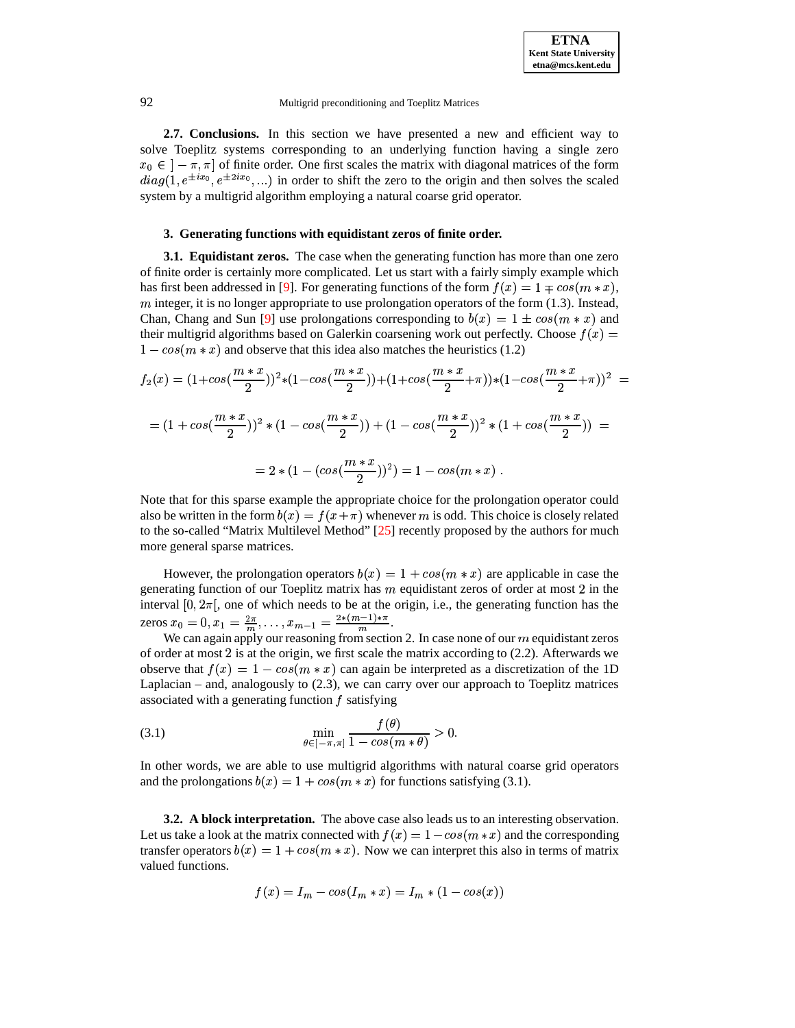**2.7. Conclusions.** In this section we have presented a new and efficient way to solve Toeplitz systems corresponding to an underlying function having a single zero  $x_0 \in [-\pi, \pi]$  of finite order. One first scales the matrix with diagonal matrices of the form  $diag(1, e^{\pm ix_0}, e^{\pm 2ix_0}, ...)$  in order to shift the zero to the origin and then solves the scaled system by a multigrid algorithm employing a natural coarse grid operator. system by a multigrid algorithm employing a natural coarse grid operator.

# **3. Generating functions with equidistant zeros of finite order.**

**3.1. Equidistant zeros.** The case when the generating function has more than one zero of finite order is certainly more complicated. Let us start with a fairly simply example which has first been addressed in [\[9\]](#page-23-6). For generating functions of the form  $f(x) = 1 \mp cos(m*x)$ ,  $m$  integer, it is no longer appropriate to use prolongation operators of the form (1.3). Instead, Chan, Chang and Sun [\[9\]](#page-23-6) use prolongations corresponding to  $b(x) = 1 \pm \cos(m*x)$  and their multigrid algorithms based on Galerkin coarsening work out perfectly. Choose  $f(x)$  $1 - \cos(m * x)$  and observe that this idea also matches the heuristics (1.2)

$$
f_2(x) = (1 + \cos(\frac{m*x}{2}))^2 * (1 - \cos(\frac{m*x}{2})) + (1 + \cos(\frac{m*x}{2} + \pi)) * (1 - \cos(\frac{m*x}{2} + \pi))^2 =
$$
  
=  $(1 + \cos(\frac{m*x}{2}))^2 * (1 - \cos(\frac{m*x}{2})) + (1 - \cos(\frac{m*x}{2}))^2 * (1 + \cos(\frac{m*x}{2})) =$   
=  $2 * (1 - (\cos(\frac{m*x}{2}))^2) = 1 - \cos(m*x).$ 

<sup>W</sup> Note that for this sparse example the appropriate choice for the prolongation operator could also be written in the form  $b(x) = f(x + \pi)$  whenever m is odd. This choice is closely related to the so-called "Matrix Multilevel Method" [\[25\]](#page-24-8) recently proposed by the authors for much more general sparse matrices.

However, the prolongation operators  $b(x) = 1 + \cos(m*x)$  are applicable in case the generating function of our Toeplitz matrix has  $m$  equidistant zeros of order at most 2 in the interval  $[0, 2\pi]$ , one of which needs to be at the origin, i.e., the generating function has the zeros  $x_0 = 0, x_1 = \frac{2\pi}{m}, \ldots, x_{m-1} = \frac{2*(m-1)*\pi}{m}$ .

We can again apply our reasoning from section 2. In case none of our *m* equidistant zeros of order at most  $2$  is at the origin, we first scale the matrix according to  $(2.2)$ . Afterwards we observe that  $f(x) = 1 - \cos(m * x)$  can again be interpreted as a discretization of the 1D Laplacian – and, analogously to (2.3), we can carry over our approach to Toeplitz matrices associated with a generating function  $f$  satisfying

$$
\min_{\theta \in [-\pi,\pi]} \frac{f(\theta)}{1 - \cos(m * \theta)} > 0.
$$

In other words, we are able to use multigrid algorithms with natural coarse grid operators and the prolongations  $b(x) = 1 + \cos(m*x)$  for functions satisfying (3.1).

**3.2. A block interpretation.** The above case also leads us to an interesting observation. Let us take a look at the matrix connected with  $f(x) = 1 - \cos(m*x)$  and the corresponding transfer operators  $b(x) = 1 + \cos(m*x)$ . Now we can interpret this also in terms of matrix valued functions.

$$
f(x)=I_m-\cos(I_m*x)=I_m*(1-\cos(x))
$$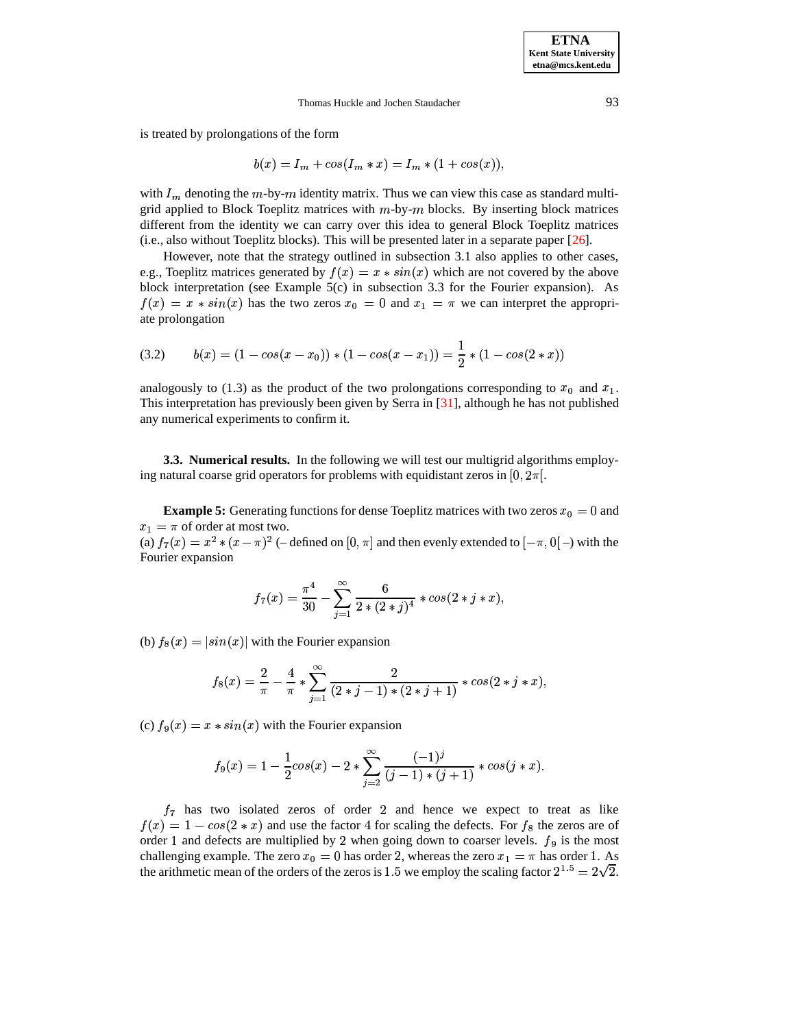is treated by prolongations of the form

$$
b(x) = I_m + \cos(I_m * x) = I_m * (1 + \cos(x)),
$$

with  $I_m$  denoting the  $m$ -by- $m$  identity matrix. Thus we can view this case as standard multigrid applied to Block Toeplitz matrices with  $m$ -by- $m$  blocks. By inserting block matrices different from the identity we can carry over this idea to general Block Toeplitz matrices (i.e., also without Toeplitz blocks). This will be presented later in a separate paper [\[26\]](#page-24-9).

However, note that the strategy outlined in subsection 3.1 also applies to other cases, e.g., Toeplitz matrices generated by  $f(x) = x * sin(x)$  which are not covered by the above block interpretation (see Example 5(c) in subsection 3.3 for the Fourier expansion). As  $f(x) = x * sin(x)$  has the two zeros  $x<sub>0</sub> = 0$  and  $x<sub>1</sub> = \pi$  we can interpret the appropriate prolongation

(3.2) 
$$
b(x) = (1 - \cos(x - x_0)) * (1 - \cos(x - x_1)) = \frac{1}{2} * (1 - \cos(2 * x))
$$

analogously to (1.3) as the product of the two prolongations corresponding to  $x_0$  and  $x_1$ . This interpretation has previously been given by Serra in [\[31\]](#page-24-4), although he has not published any numerical experiments to confirm it.

**3.3. Numerical results.** In the following we will test our multigrid algorithms employing natural coarse grid operators for problems with equidistant zeros in  $[0, 2\pi]$ .

**Example 5:** Generating functions for dense Toeplitz matrices with two zeros  $x_0 = 0$  and  $x_1 = \pi$  of order at most two.

(a)  $f_7(x) = x^2 * (x - \pi)^2$  (-defined on  $[0, \pi]$  and then evenly extended to  $[-\pi, 0]$  –) with the Fourier expansion

$$
f_7(x) = \frac{\pi^4}{30} - \sum_{j=1}^{\infty} \frac{6}{2*(2+j)^4} * \cos(2 * j * x),
$$

(b)  $f_8(x) = |\sin(x)|$  with the Fourier expansion

$$
f_8(x) = \frac{2}{\pi} - \frac{4}{\pi} * \sum_{j=1}^{\infty} \frac{2}{(2+j-1) * (2+j+1)} * cos(2 * j * x),
$$

(c)  $f_9(x) = x * sin(x)$  with the Fourier expansion

$$
f_9(x) = 1 - \frac{1}{2}cos(x) - 2 * \sum_{j=2}^{\infty} \frac{(-1)^j}{(j-1) * (j+1)} * cos(j*x).
$$

 $f_7$  has two isolated zeros of order 2 and hence we expect to treat as like  $f(x) = 1 - \cos(2 * x)$  and use the factor 4 for scaling the defects. For  $f_8$  the zeros are of order 1 and defects are multiplied by 2 when going down to coarser levels.  $f_9$  is the most challenging example. The zero  $x_0 = 0$  has order 2, whereas the zero  $x_1 = \pi$  has order 1. As the arithmetic mean of the orders of the zeros is 1.5 we employ the scaling factor  $2^{1.5} = 2\sqrt{2}$ .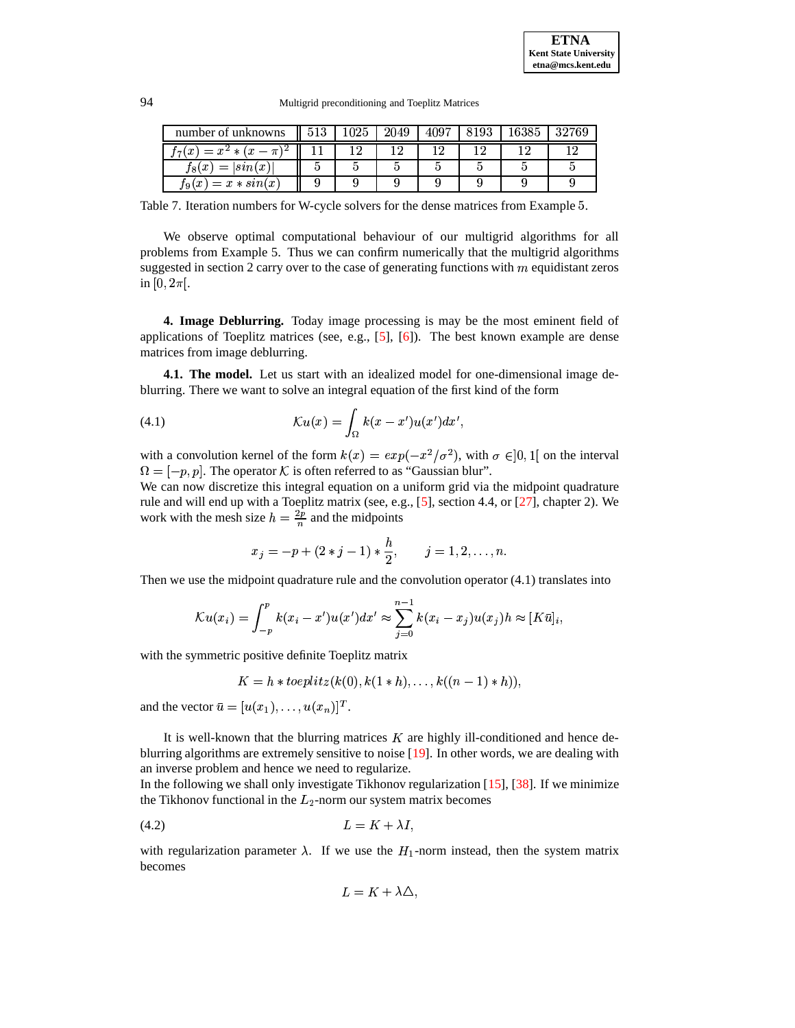94 Multigrid preconditioning and Toeplitz Matrices

| number of unknowns                   |  | 2049 |  | 32769 |
|--------------------------------------|--|------|--|-------|
| $= x^2 * (x - \pi)^2$<br>(x          |  |      |  |       |
| $t$ s $(\emph{x})$<br>$=$<br> sin(x) |  |      |  |       |
| $= x * sin(x)$<br>$\mathfrak{g}(x)$  |  |      |  |       |

Table 7. Iteration numbers for W-cycle solvers for the dense matrices from Example 5.

We observe optimal computational behaviour of our multigrid algorithms for all problems from Example 5. Thus we can confirm numerically that the multigrid algorithms suggested in section 2 carry over to the case of generating functions with  $m$  equidistant zeros in  $[0, 2\pi]$ .

**4. Image Deblurring.** Today image processing is may be the most eminent field of applications of Toeplitz matrices (see, e.g.,  $[5]$ ,  $[6]$ ). The best known example are dense matrices from image deblurring.

**4.1. The model.** Let us start with an idealized model for one-dimensional image deblurring. There we want to solve an integral equation of the first kind of the form

(4.1) 
$$
\mathcal{K}u(x) = \int_{\Omega} k(x - x')u(x')dx',
$$

with a convolution kernel of the form  $k(x) = exp(-x^2/\sigma^2)$ , with  $\sigma \in ]0,1]$  on the interval  $\Omega = [-p, p]$ . The operator K is often referred to as "Gaussian blur".

We can now discretize this integral equation on a uniform grid via the midpoint quadrature rule and will end up with a Toeplitz matrix (see, e.g., [\[5\]](#page-23-13), section 4.4, or [\[27\]](#page-24-10), chapter 2). We work with the mesh size  $h = \frac{2p}{n}$  and the midpoints

$$
x_j = -p + (2 * j - 1) * \frac{h}{2}, \qquad j = 1, 2, \ldots, n.
$$

Then we use the midpoint quadrature rule and the convolution operator (4.1) translates into

$$
\mathcal{K}u(x_i) = \int_{-p}^p k(x_i - x')u(x')dx' \approx \sum_{j=0}^{n-1} k(x_i - x_j)u(x_j)h \approx [K\bar{u}]_i,
$$

with the symmetric positive definite Toeplitz matrix

$$
K = h * toeplitz(k(0), k(1*h), \ldots, k((n-1)*h)),
$$

and the vector  $\bar{u} = [u(x_1), \dots, u(x_n)]^T$ .

It is well-known that the blurring matrices  $K$  are highly ill-conditioned and hence deblurring algorithms are extremely sensitive to noise [\[19\]](#page-23-15). In other words, we are dealing with an inverse problem and hence we need to regularize.

In the following we shall only investigate Tikhonov regularization [\[15\]](#page-23-16), [\[38\]](#page-24-11). If we minimize the Tikhonov functional in the  $L_2$ -norm our system matrix becomes

$$
(4.2) \t\t\t L = K + \lambda I,
$$

with regularization parameter  $\lambda$ . If we use the  $H_1$ -norm instead, then the system matrix becomes

$$
L = K + \lambda \Delta,
$$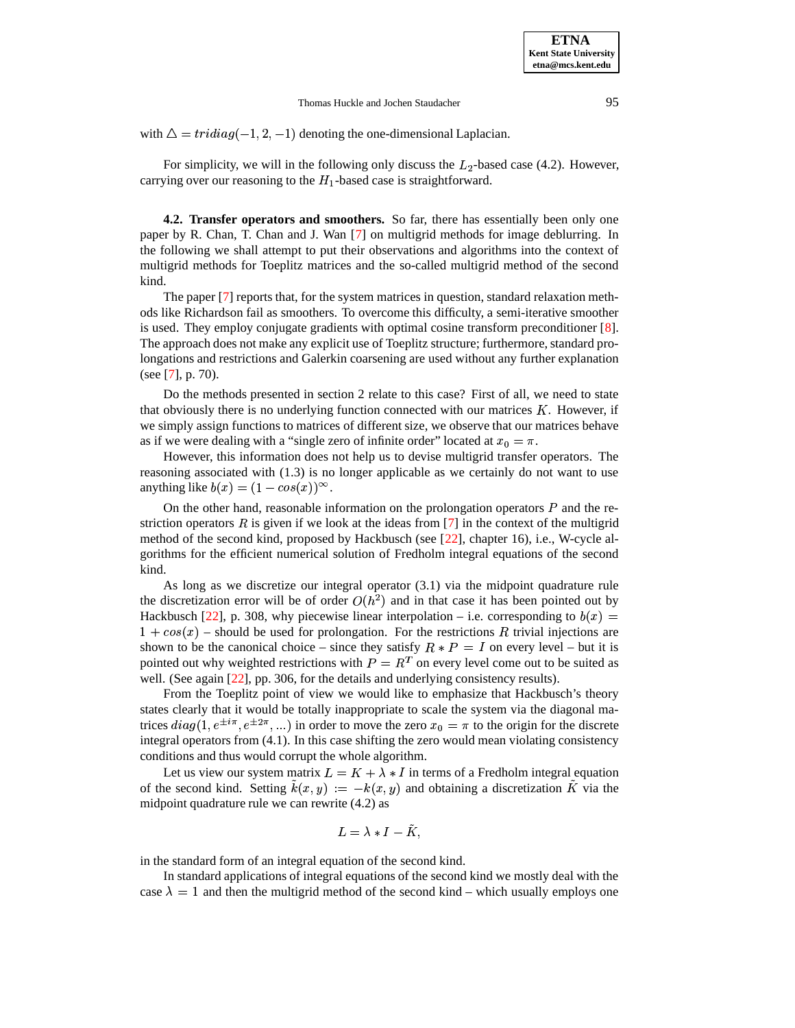with  $\Delta = tridiag(-1, 2, -1)$  denoting the one-dimensional Laplacian.

For simplicity, we will in the following only discuss the  $L_2$ -based case (4.2). However, carrying over our reasoning to the  $H_1$ -based case is straightforward.

**4.2. Transfer operators and smoothers.** So far, there has essentially been only one paper by R. Chan, T. Chan and J. Wan [\[7\]](#page-23-7) on multigrid methods for image deblurring. In the following we shall attempt to put their observations and algorithms into the context of multigrid methods for Toeplitz matrices and the so-called multigrid method of the second kind.

The paper [\[7\]](#page-23-7) reports that, for the system matrices in question, standard relaxation methods like Richardson fail as smoothers. To overcome this difficulty, a semi-iterative smoother is used. They employ conjugate gradients with optimal cosine transform preconditioner [\[8\]](#page-23-17). The approach does not make any explicit use of Toeplitz structure; furthermore, standard prolongations and restrictions and Galerkin coarsening are used without any further explanation (see [\[7\]](#page-23-7), p. 70).

Do the methods presented in section 2 relate to this case? First of all, we need to state that obviously there is no underlying function connected with our matrices  $K$ . However, if we simply assign functions to matrices of different size, we observe that our matrices behave as if we were dealing with a "single zero of infinite order" located at  $x_0 = \pi$ .

However, this information does not help us to devise multigrid transfer operators. The reasoning associated with (1.3) is no longer applicable as we certainly do not want to use anything like  $b(x) = (1 - \cos(x))^{\infty}$ .

On the other hand, reasonable information on the prolongation operators  $P$  and the restriction operators  $\hat{R}$  is given if we look at the ideas from [\[7\]](#page-23-7) in the context of the multigrid method of the second kind, proposed by Hackbusch (see [\[22\]](#page-23-8), chapter 16), i.e., W-cycle algorithms for the efficient numerical solution of Fredholm integral equations of the second kind.

As long as we discretize our integral operator (3.1) via the midpoint quadrature rule the discretization error will be of order  $O(h^2)$  and in that case it has been pointed out by Hackbusch [\[22\]](#page-23-8), p. 308, why piecewise linear interpolation – i.e. corresponding to  $b(x) =$  $1 + \cos(x)$  – should be used for prolongation. For the restrictions R trivial injections are shown to be the canonical choice – since they satisfy  $R * P = I$  on every level – but it is pointed out why weighted restrictions with  $P = R<sup>T</sup>$  on every level come out to be suited as well. (See again [\[22\]](#page-23-8), pp. 306, for the details and underlying consistency results).

From the Toeplitz point of view we would like to emphasize that Hackbusch's theory states clearly that it would be totally inappropriate to scale the system via the diagonal matrices  $diag(1, e^{\pm i\pi}, e^{\pm 2\pi}, ...)$  in order to move the zero  $x_0 = \pi$  to the origin for the discrete integral operators from (4.1). In this case shifting the zero would mean violating consistency integral operators from (4.1). In this case shifting the zero would mean violating consistency conditions and thus would corrupt the whole algorithm.

Let us view our system matrix  $L = K + \lambda * I$  in terms of a Fredholm integral equation of the second kind. Setting  $\tilde{k}(x, y) := -k(x, y)$  and obtaining a discretization  $\tilde{K}$  via the midpoint quadrature rule we can rewrite (4.2) as

$$
L=\lambda*I-\tilde{K},
$$

in the standard form of an integral equation of the second kind.

In standard applications of integral equations of the second kind we mostly deal with the case  $\lambda = 1$  and then the multigrid method of the second kind – which usually employs one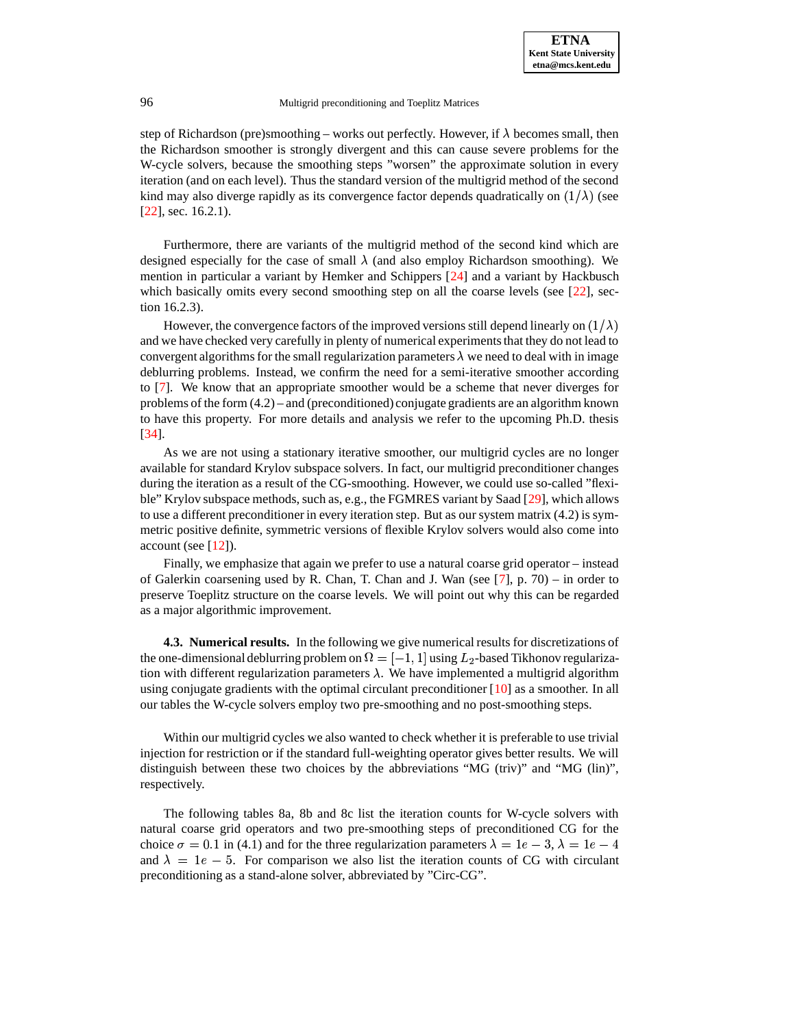step of Richardson (pre)smoothing – works out perfectly. However, if  $\lambda$  becomes small, then the Richardson smoother is strongly divergent and this can cause severe problems for the W-cycle solvers, because the smoothing steps "worsen" the approximate solution in every iteration (and on each level). Thus the standard version of the multigrid method of the second kind may also diverge rapidly as its convergence factor depends quadratically on  $(1/\lambda)$  (see [\[22\]](#page-23-8), sec. 16.2.1).

Furthermore, there are variants of the multigrid method of the second kind which are designed especially for the case of small  $\lambda$  (and also employ Richardson smoothing). We mention in particular a variant by Hemker and Schippers [\[24\]](#page-23-18) and a variant by Hackbusch which basically omits every second smoothing step on all the coarse levels (see [\[22\]](#page-23-8), section 16.2.3).

However, the convergence factors of the improved versions still depend linearly on  $(1/\lambda)$ and we have checked very carefully in plenty of numerical experimentsthat they do not lead to convergent algorithms for the small regularization parameters  $\lambda$  we need to deal with in image deblurring problems. Instead, we confirm the need for a semi-iterative smoother according to [\[7\]](#page-23-7). We know that an appropriate smoother would be a scheme that never diverges for problems of the form (4.2) – and (preconditioned) conjugate gradients are an algorithm known to have this property. For more details and analysis we refer to the upcoming Ph.D. thesis [\[34\]](#page-24-12).

As we are not using a stationary iterative smoother, our multigrid cycles are no longer available for standard Krylov subspace solvers. In fact, our multigrid preconditioner changes during the iteration as a result of the CG-smoothing. However, we could use so-called "flexi-ble" Krylov subspace methods, such as, e.g., the FGMRES variant by Saad [\[29\]](#page-24-13), which allows to use a different preconditioner in every iteration step. But as our system matrix (4.2) is symmetric positive definite, symmetric versions of flexible Krylov solvers would also come into account (see  $[12]$ ).

Finally, we emphasize that again we prefer to use a natural coarse grid operator – instead of Galerkin coarsening used by R. Chan, T. Chan and J. Wan (see [\[7\]](#page-23-7), p. 70) – in order to preserve Toeplitz structure on the coarse levels. We will point out why this can be regarded as a major algorithmic improvement.

**4.3. Numerical results.** In the following we give numerical results for discretizations of the one-dimensional deblurring problem on  $\Omega = [-1, 1]$  using  $L_2$ -based Tikhonov regularization with different regularization parameters  $\lambda$ . We have implemented a multigrid algorithm using conjugate gradients with the optimal circulant preconditioner [\[10\]](#page-23-12) as a smoother. In all our tables the W-cycle solvers employ two pre-smoothing and no post-smoothing steps.

Within our multigrid cycles we also wanted to check whether it is preferable to use trivial injection for restriction or if the standard full-weighting operator gives better results. We will distinguish between these two choices by the abbreviations "MG (triv)" and "MG (lin)", respectively.

The following tables 8a, 8b and 8c list the iteration counts for W-cycle solvers with natural coarse grid operators and two pre-smoothing steps of preconditioned CG for the choice  $\sigma = 0.1$  in (4.1) and for the three regularization parameters  $\lambda = 1e - 3$ ,  $\lambda = 1e - 4$ <br>and  $\lambda = 1e - 5$ . For comparison we also list the iteration counts of CG with circulant and  $\lambda = 1e - 5$ . For comparison we also list the iteration counts of CG with circulant preconditioning as a stand-alone solver, abbreviated by "Circ-CG".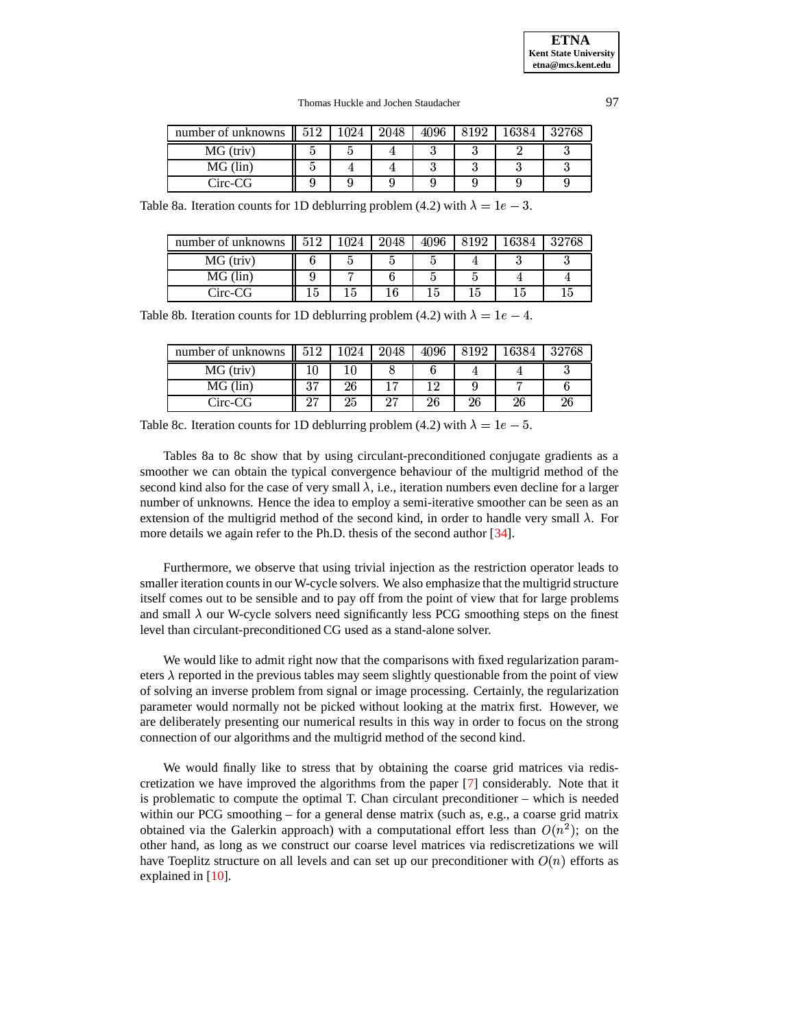| number of unknowns $\parallel$ 512 |  | 2048 | 4096 | 3192 | 6384 | 32768 |
|------------------------------------|--|------|------|------|------|-------|
| MG (triv)                          |  |      |      |      |      |       |
| MG (lin)                           |  |      |      |      |      |       |
| Circ-CG                            |  |      |      |      |      |       |

Table 8a. Iteration counts for 1D deblurring problem (4.2) with  $\lambda = 1e - 3$ .

| number of unknowns $\parallel$ | 512 | 1024 | 2048 | 4096 | 6384 | 32768 |
|--------------------------------|-----|------|------|------|------|-------|
| MG (triv)                      |     |      |      |      |      |       |
| MG (lin)                       |     |      |      |      |      |       |
| Circ-CG                        |     | L5   |      |      |      |       |

Table 8b. Iteration counts for 1D deblurring problem (4.2) with  $\lambda = 1e - 4$ .

| number of unknowns | 519            | $1024\,$ | 2048   | 4096 | 8192 | 16384 | 32768 |
|--------------------|----------------|----------|--------|------|------|-------|-------|
| MG (triv)          |                |          |        |      |      | 4     |       |
| MG (lin)           | $\Omega$<br>εJ | 26       |        |      |      |       |       |
| Circ-CG            | $\cap$         | 25       | $\sim$ | 26   | 26   | 26    | 26    |

Table 8c. Iteration counts for 1D deblurring problem (4.2) with  $\lambda = 1e - 5$ .

Tables 8a to 8c show that by using circulant-preconditioned conjugate gradients as a smoother we can obtain the typical convergence behaviour of the multigrid method of the second kind also for the case of very small  $\lambda$ , i.e., iteration numbers even decline for a larger number of unknowns. Hence the idea to employ a semi-iterative smoother can be seen as an extension of the multigrid method of the second kind, in order to handle very small  $\lambda$ . For more details we again refer to the Ph.D. thesis of the second author [\[34\]](#page-24-12).

Furthermore, we observe that using trivial injection as the restriction operator leads to smaller iteration counts in our W-cycle solvers. We also emphasize that the multigrid structure itself comes out to be sensible and to pay off from the point of view that for large problems and small  $\lambda$  our W-cycle solvers need significantly less PCG smoothing steps on the finest level than circulant-preconditioned CG used as a stand-alone solver.

We would like to admit right now that the comparisons with fixed regularization parameters  $\lambda$  reported in the previous tables may seem slightly questionable from the point of view of solving an inverse problem from signal or image processing. Certainly, the regularization parameter would normally not be picked without looking at the matrix first. However, we are deliberately presenting our numerical results in this way in order to focus on the strong connection of our algorithms and the multigrid method of the second kind.

We would finally like to stress that by obtaining the coarse grid matrices via rediscretization we have improved the algorithms from the paper [\[7\]](#page-23-7) considerably. Note that it is problematic to compute the optimal T. Chan circulant preconditioner – which is needed within our PCG smoothing – for a general dense matrix (such as, e.g., a coarse grid matrix obtained via the Galerkin approach) with a computational effort less than  $O(n^2)$ ; on the other hand, as long as we construct our coarse level matrices via rediscretizations we will have Toeplitz structure on all levels and can set up our preconditioner with  $O(n)$  efforts as explained in [\[10\]](#page-23-12).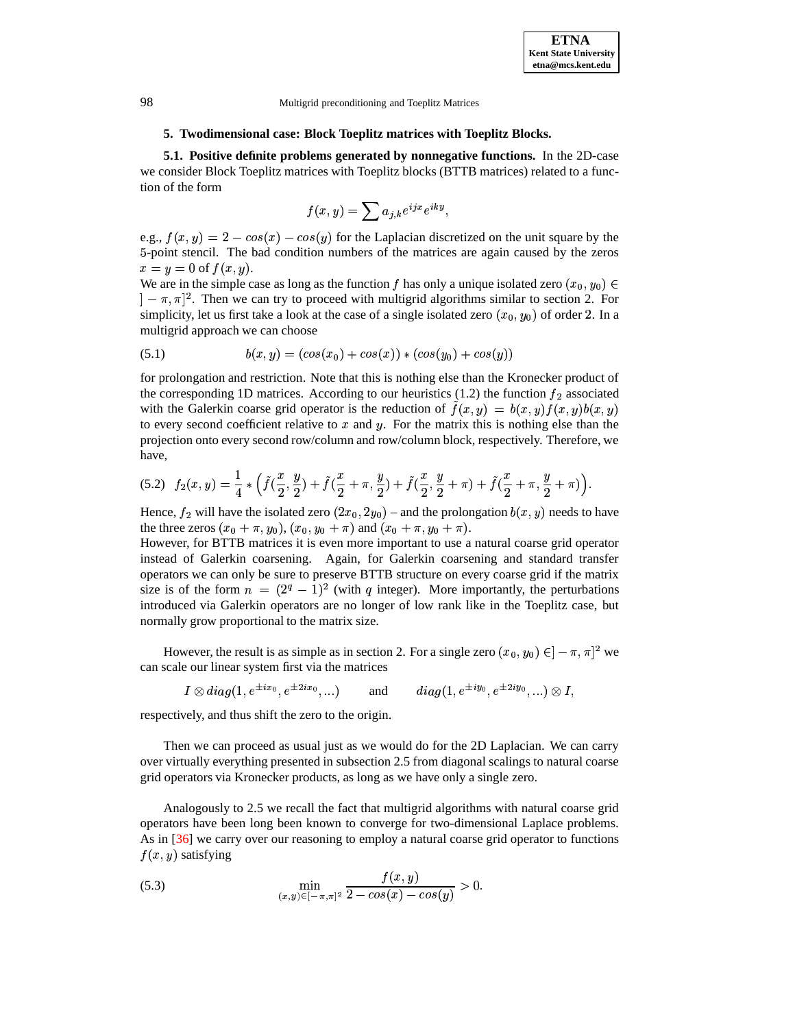# **5. Twodimensional case: Block Toeplitz matrices with Toeplitz Blocks.**

**5.1. Positive definite problems generated by nonnegative functions.** In the 2D-case we consider Block Toeplitz matrices with Toeplitz blocks (BTTB matrices) related to a function of the form

$$
f(x,y) = \sum a_{j,k} e^{ijx} e^{iky},
$$

e.g.,  $f(x, y) = 2 - cos(x) - cos(y)$  for the Laplacian discretized on the unit square by the -point stencil. The bad condition numbers of the matrices are again caused by the zeros  $x = y = 0$  of  $f(x, y)$ .

We are in the simple case as long as the function f has only a unique isolated zero  $(x_0, y_0) \in$  $] - \pi, \pi$ <sup>2</sup>. Then we can try to proceed with multigrid algorithms similar to section 2. For simplicity, let us first take a look at the case of a single isolated zero  $(x_0, y_0)$  of order 2. In a multigrid approach we can choose

(5.1) 
$$
b(x, y) = (cos(x_0) + cos(x)) * (cos(y_0) + cos(y))
$$

for prolongation and restriction. Note that this is nothing else than the Kronecker product of the corresponding 1D matrices. According to our heuristics (1.2) the function  $f_2$  associated with the Galerkin coarse grid operator is the reduction of  $\tilde{f}(x,y) = b(x,y)f(x,y)b(x,y)$ to every second coefficient relative to  $x$  and  $y$ . For the matrix this is nothing else than the projection onto every second row/column and row/column block, respectively. Therefore, we have,

$$
(5.2) \ \ f_2(x,y) = \frac{1}{4} * \left( \tilde{f}(\frac{x}{2},\frac{y}{2}) + \tilde{f}(\frac{x}{2}+\pi,\frac{y}{2}) + \tilde{f}(\frac{x}{2},\frac{y}{2}+\pi) + \tilde{f}(\frac{x}{2}+\pi,\frac{y}{2}+\pi) \right).
$$

Hence,  $f_2$  will have the isolated zero  $(2x_0, 2y_0)$  – and the prolongation  $b(x, y)$  needs to have the three zeros  $(x_0 + \pi, y_0)$ ,  $(x_0, y_0 + \pi)$  and  $(x_0 + \pi, y_0 + \pi)$ .

However, for BTTB matrices it is even more important to use a natural coarse grid operator instead of Galerkin coarsening. Again, for Galerkin coarsening and standard transfer operators we can only be sure to preserve BTTB structure on every coarse grid if the matrix size is of the form  $n = (2^q - 1)^2$  (with q integer). More importantly, the perturbations introduced via Galerkin operators are no longer of low rank like in the Toeplitz case, but normally grow proportional to the matrix size.

However, the result is as simple as in section 2. For a single zero  $(x_0, y_0) \in ]-\pi, \pi|^2$  we can scale our linear system first via the matrices

$$
I \otimes diag(1, e^{\pm ix_0}, e^{\pm 2ix_0}, \ldots)
$$
 and  $diag(1, e^{\pm iy_0}, e^{\pm 2iy_0}, \ldots) \otimes I$ ,  
only and thus shift the zero to the origin

respectively, and thus shift the zero to the origin.

Then we can proceed as usual just as we would do for the 2D Laplacian. We can carry over virtually everything presented in subsection 2.5 from diagonal scalings to natural coarse grid operators via Kronecker products, as long as we have only a single zero.

Analogously to 2.5 we recall the fact that multigrid algorithms with natural coarse grid operators have been long been known to converge for two-dimensional Laplace problems. As in [\[36\]](#page-24-14) we carry over our reasoning to employ a natural coarse grid operator to functions  $f(x, y)$  satisfying

(5.3) 
$$
\min_{(x,y)\in[-\pi,\pi]^2} \frac{f(x,y)}{2-\cos(x)-\cos(y)} > 0.
$$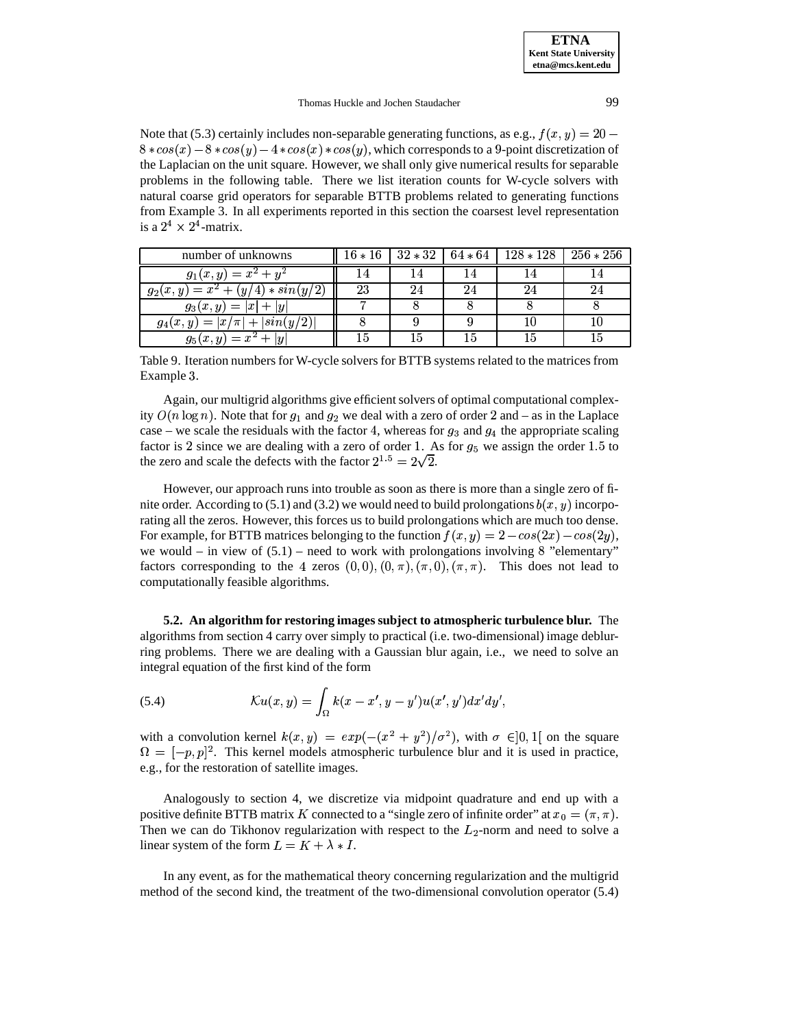Note that (5.3) certainly includes non-separable generating functions, as e.g.,  $f(x, y) = 20$  –  $8 * cos(x) - 8 * cos(y) - 4 * cos(x) * cos(y)$ , which corresponds to a 9-point discretization of the Laplacian on the unit square. However, we shall only give numerical results for separable problems in the following table. There we list iteration counts for W-cycle solvers with natural coarse grid operators for separable BTTB problems related to generating functions from Example 3. In all experiments reported in this section the coarsest level representation is a  $2^4 \times 2^4$ -matrix.

| number of unknowns                  | $16 * 16$ | $ 32 * 32 $ |    | $64 * 64$   $128 * 128$ | 256 $*$ 256 |
|-------------------------------------|-----------|-------------|----|-------------------------|-------------|
| $g_1(x,y) = x^2 + y^2$              | 14        |             | 14 |                         | 14          |
| $g_2(x,y) = x^2 + (y/4) * sin(y/2)$ | 23        |             | 24 |                         | 24          |
| $g_3(x,y) =  x  +  y $              |           |             |    |                         |             |
| $g_4(x,y) =  x/\pi  +  sin(y/2) $   |           |             |    |                         | 10          |
| $g_5(x,y) = x^2 +  y $              | 15        |             | 15 |                         |             |

Table 9. Iteration numbers for W-cycle solvers for BTTB systems related to the matrices from Example 3.

Again, our multigrid algorithms give efficient solvers of optimal computational complexity  $O(n \log n)$ . Note that for  $g_1$  and  $g_2$  we deal with a zero of order 2 and – as in the Laplace case – we scale the residuals with the factor 4, whereas for  $g_3$  and  $g_4$  the appropriate scaling factor is 2 since we are dealing with a zero of order 1. As for  $g_5$  we assign the order 1.5 to the zero and scale the defects with the factor  $2^{1.5} = 2\sqrt{2}$ . the zero and scale the defects with the factor  $2^{1.5} = 2\sqrt{2}$ .

However, our approach runs into trouble as soon as there is more than a single zero of finite order. According to (5.1) and (3.2) we would need to build prolongations  $b(x, y)$  incorporating all the zeros. However, this forces us to build prolongations which are much too dense. For example, for BTTB matrices belonging to the function  $f(x, y) = 2 - cos(2x) - cos(2y)$ , we would – in view of  $(5.1)$  – need to work with prolongations involving 8 "elementary" factors corresponding to the 4 zeros  $(0,0), (0,\pi), (\pi,0), (\pi,\pi)$ . This does not lead to computationally feasible algorithms.

**5.2. An algorithm for restoring images subject to atmospheric turbulence blur.** The algorithms from section 4 carry over simply to practical (i.e. two-dimensional) image deblurring problems. There we are dealing with a Gaussian blur again, i.e., we need to solve an integral equation of the first kind of the form

(5.4) 
$$
\mathcal{K}u(x,y) = \int_{\Omega} k(x-x',y-y')u(x',y')dx'dy',
$$

with a convolution kernel  $k(x, y) = exp(-(x^2 + y^2)/\sigma^2)$ , with  $\sigma \in ]0,1[$  on the square  $\Omega = [-p, p]^2$ . This kernel models atmospheric turbulence blur and it is used in practice, e.g., for the restoration of satellite images.

Analogously to section 4, we discretize via midpoint quadrature and end up with a positive definite BTTB matrix K connected to a "single zero of infinite order" at  $x_0 = (\pi, \pi)$ . Then we can do Tikhonov regularization with respect to the  $L_2$ -norm and need to solve a linear system of the form  $L = K + \lambda * I$ .

In any event, as for the mathematical theory concerning regularization and the multigrid method of the second kind, the treatment of the two-dimensional convolution operator (5.4)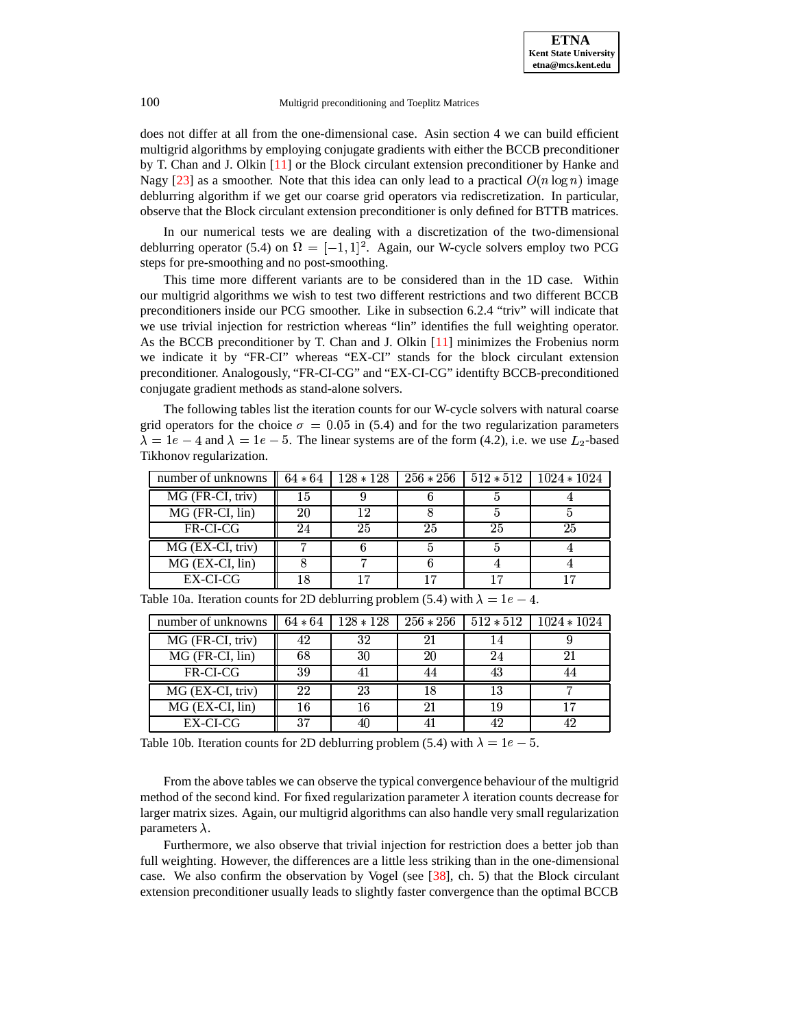does not differ at all from the one-dimensional case. Asin section 4 we can build efficient multigrid algorithms by employing conjugate gradients with either the BCCB preconditioner by T. Chan and J. Olkin [\[11\]](#page-23-20) or the Block circulant extension preconditioner by Hanke and Nagy [\[23\]](#page-23-21) as a smoother. Note that this idea can only lead to a practical  $O(n \log n)$  image deblurring algorithm if we get our coarse grid operators via rediscretization. In particular, observe that the Block circulant extension preconditioner is only defined for BTTB matrices.

In our numerical tests we are dealing with a discretization of the two-dimensional deblurring operator (5.4) on  $\Omega = [-1, 1]^2$ . Again, our W-cycle solvers employ two PCG steps for pre-smoothing and no post-smoothing.

This time more different variants are to be considered than in the 1D case. Within our multigrid algorithms we wish to test two different restrictions and two different BCCB preconditioners inside our PCG smoother. Like in subsection 6.2.4 "triv" will indicate that we use trivial injection for restriction whereas "lin" identifies the full weighting operator. As the BCCB preconditioner by T. Chan and J. Olkin [\[11\]](#page-23-20) minimizes the Frobenius norm we indicate it by "FR-CI" whereas "EX-CI" stands for the block circulant extension preconditioner. Analogously, "FR-CI-CG" and "EX-CI-CG" identifty BCCB-preconditioned conjugate gradient methods as stand-alone solvers.

The following tables list the iteration counts for our W-cycle solvers with natural coarse grid operators for the choice  $\sigma = 0.05$  in (5.4) and for the two regularization parameters  $\lambda = 1e - 4$  and  $\lambda = 1e - 5$ . The linear systems are of the form (4.2), i.e. we use  $L_2$ -based Tikhonov regularization.

| number of unknowns | $64 * 64$ |    |    |    | $128 * 128$   $256 * 256$   $512 * 512$   $1024 * 1024$ |
|--------------------|-----------|----|----|----|---------------------------------------------------------|
| MG (FR-CI, triv)   |           |    |    |    |                                                         |
| MG (FR-CI, lin)    | 20        | 12 |    |    |                                                         |
| FR-CI-CG           |           | 25 | 25 | 25 | 25                                                      |
| MG (EX-CI, triv)   |           |    |    |    |                                                         |
| $MG$ (EX-CI, lin)  |           |    |    |    |                                                         |
| EX-CI-CG           |           |    |    |    |                                                         |

| number of unknowns   | $64 * 64$ | $128 * 128$ |    |    | $256 * 256$   $512 * 512$   $1024 * 1024$ |
|----------------------|-----------|-------------|----|----|-------------------------------------------|
| MG (FR-CI, triv)     | 42        | 32          |    | 14 |                                           |
| MG (FR-CI, lin)      | 68        | 30          | 20 | 24 | 21                                        |
| FR-CI-CG             | 39        | 41          | 44 | 43 | 44                                        |
| MG (EX-CI, triv)     | 22        | 23          | 18 | 13 |                                           |
| $MG$ (EX-CI, $lin$ ) |           | 16          |    | 19 |                                           |
| EX-CI-CG             | 37        | 40          |    | 42 | 42                                        |

Table 10a. Iteration counts for 2D deblurring problem (5.4) with  $\lambda = 1e - 4$ .

Table 10b. Iteration counts for 2D deblurring problem (5.4) with  $\lambda = 1e - 5$ .

From the above tables we can observe the typical convergence behaviour of the multigrid method of the second kind. For fixed regularization parameter  $\lambda$  iteration counts decrease for larger matrix sizes. Again, our multigrid algorithms can also handle very small regularization parameters  $\lambda$ .

Furthermore, we also observe that trivial injection for restriction does a better job than full weighting. However, the differences are a little less striking than in the one-dimensional case. We also confirm the observation by Vogel (see  $[38]$ , ch. 5) that the Block circulant extension preconditioner usually leads to slightly faster convergence than the optimal BCCB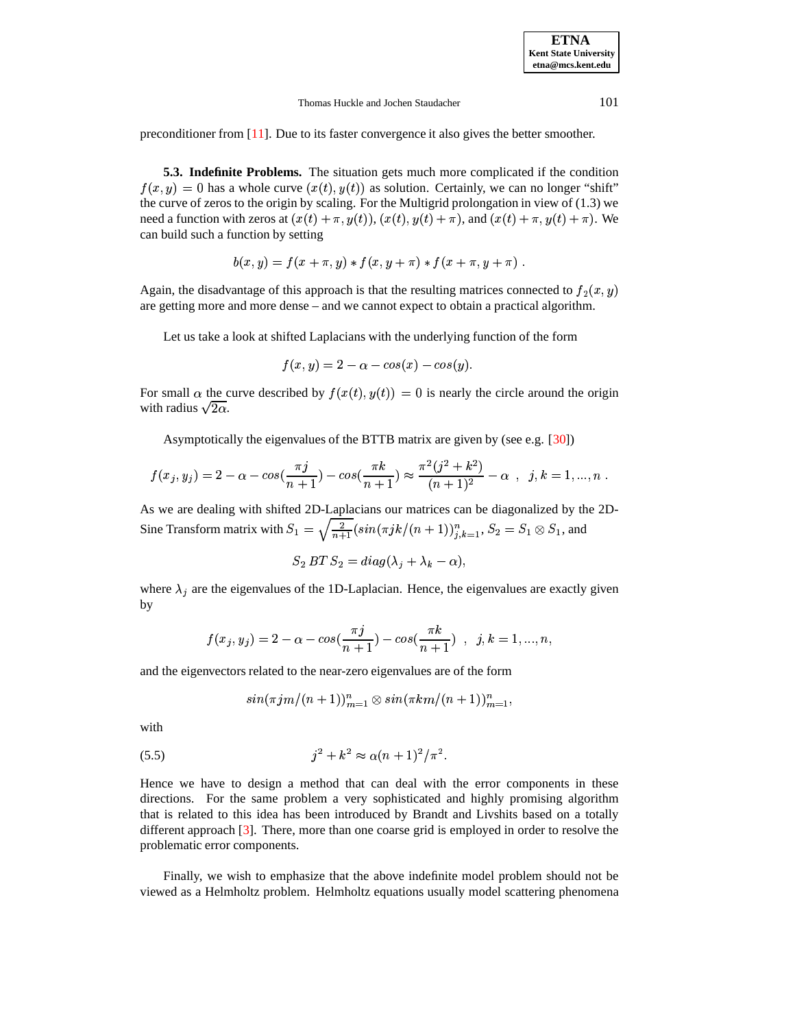preconditioner from [\[11\]](#page-23-20). Due to its faster convergence it also gives the better smoother.

**5.3. Indefinite Problems.** The situation gets much more complicated if the condition  $f(x, y) = 0$  has a whole curve  $(x(t), y(t))$  as solution. Certainly, we can no longer "shift" the curve of zeros to the origin by scaling. For the Multigrid prolongation in view of (1.3) we need a function with zeros at  $(x(t) + \pi, y(t))$ ,  $(x(t), y(t) + \pi)$ , and  $(x(t) + \pi, y(t) + \pi)$ . We can build such a function by setting

$$
b(x,y) = f(x + \pi, y) * f(x, y + \pi) * f(x + \pi, y + \pi).
$$

Again, the disadvantage of this approach is that the resulting matrices connected to  $f_2(x, y)$ are getting more and more dense – and we cannot expect to obtain a practical algorithm.

Let us take a look at shifted Laplacians with the underlying function of the form

$$
f(x,y) = 2 - \alpha - \cos(x) - \cos(y).
$$

For small  $\alpha$  the curve described by  $f(x(t), y(t)) = 0$  is nearly the circle around the origin with radius  $\sqrt{2\alpha}$ .

Asymptotically the eigenvalues of the BTTB matrix are given by (see e.g. [\[30\]](#page-24-0))

$$
f(x_j, y_j) = 2 - \alpha - \cos(\frac{\pi j}{n+1}) - \cos(\frac{\pi k}{n+1}) \approx \frac{\pi^2 (j^2 + k^2)}{(n+1)^2} - \alpha \ , \ j, k = 1, ..., n .
$$

As we are dealing with shifted 2D-Laplacians our matrices can be diagonalized by the 2D-Sine Transform matrix with  $S_1 = \sqrt{\frac{2}{n+1}} (\sin(\pi jk/(n+1)))_{j,k=1}^n$ ,  $S_2 = S_1 \otimes S_1$ , and

$$
S_2 BT\ S_2 = diag(\lambda_j + \lambda_k - \alpha),
$$

where  $\lambda_j$  are the eigenvalues of the 1D-Laplacian. Hence, the eigenvalues are exactly given by

$$
f(x_j, y_j) = 2 - \alpha - \cos(\frac{\pi j}{n+1}) - \cos(\frac{\pi k}{n+1}) \quad , \ \ j, k = 1, ..., n,
$$

and the eigenvectors related to the near-zero eigenvalues are of the form

$$
\sin(\pi j m/(n+1))_{m=1}^n \otimes \sin(\pi k m/(n+1))_{m=1}^n,
$$

with

(5.5) 
$$
j^2 + k^2 \approx \alpha (n+1)^2 / \pi^2.
$$

Hence we have to design a method that can deal with the error components in these directions. For the same problem a very sophisticated and highly promising algorithm that is related to this idea has been introduced by Brandt and Livshits based on a totally different approach [\[3\]](#page-23-9). There, more than one coarse grid is employed in order to resolve the problematic error components.

Finally, we wish to emphasize that the above indefinite model problem should not be viewed as a Helmholtz problem. Helmholtz equations usually model scattering phenomena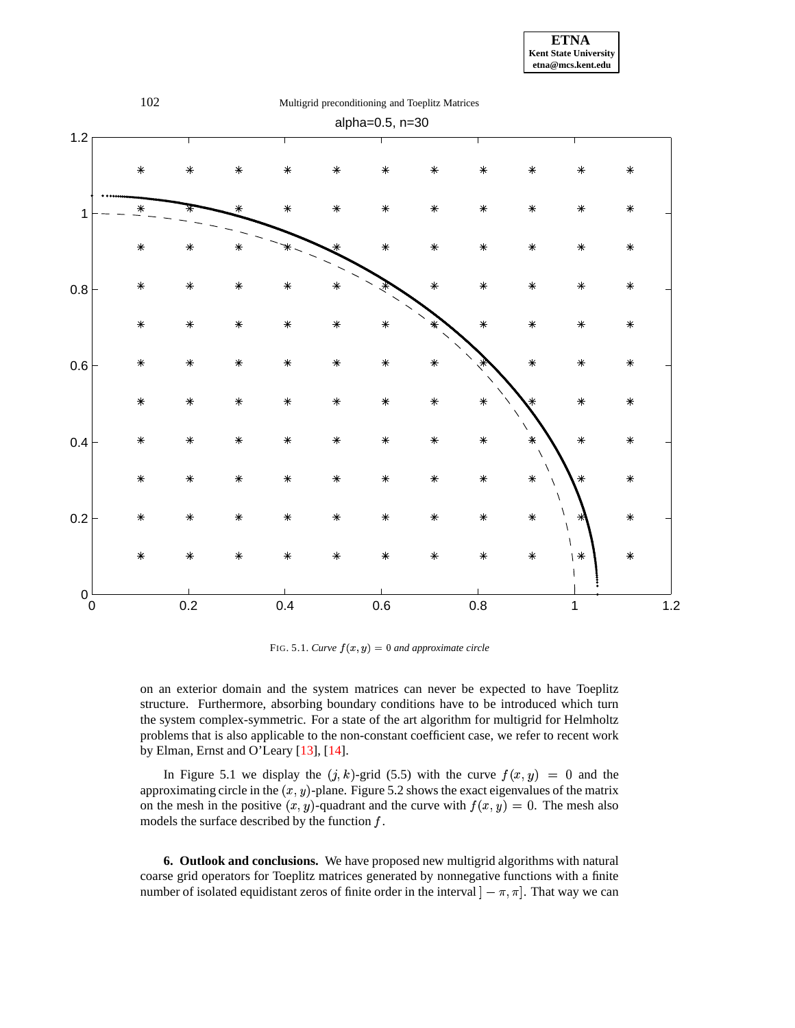



 $FIG. 5.1. \textit{Curve } f(x, y) = 0 \textit{ and approximate circle}$ 

on an exterior domain and the system matrices can never be expected to have Toeplitz structure. Furthermore, absorbing boundary conditions have to be introduced which turn the system complex-symmetric. For a state of the art algorithm for multigrid for Helmholtz problems that is also applicable to the non-constant coefficient case, we refer to recent work by Elman, Ernst and O'Leary [\[13\]](#page-23-22), [\[14\]](#page-23-23).

In Figure 5.1 we display the  $(j, k)$ -grid (5.5) with the curve  $f(x, y) = 0$  and the approximating circle in the  $(x, y)$ -plane. Figure 5.2 shows the exact eigenvalues of the matrix on the mesh in the positive  $(x, y)$ -quadrant and the curve with  $f(x, y) = 0$ . The mesh also models the surface described by the function  $f$ .

**6. Outlook and conclusions.** We have proposed new multigrid algorithms with natural coarse grid operators for Toeplitz matrices generated by nonnegative functions with a finite number of isolated equidistant zeros of finite order in the interval  $] - \pi, \pi]$ . That way we can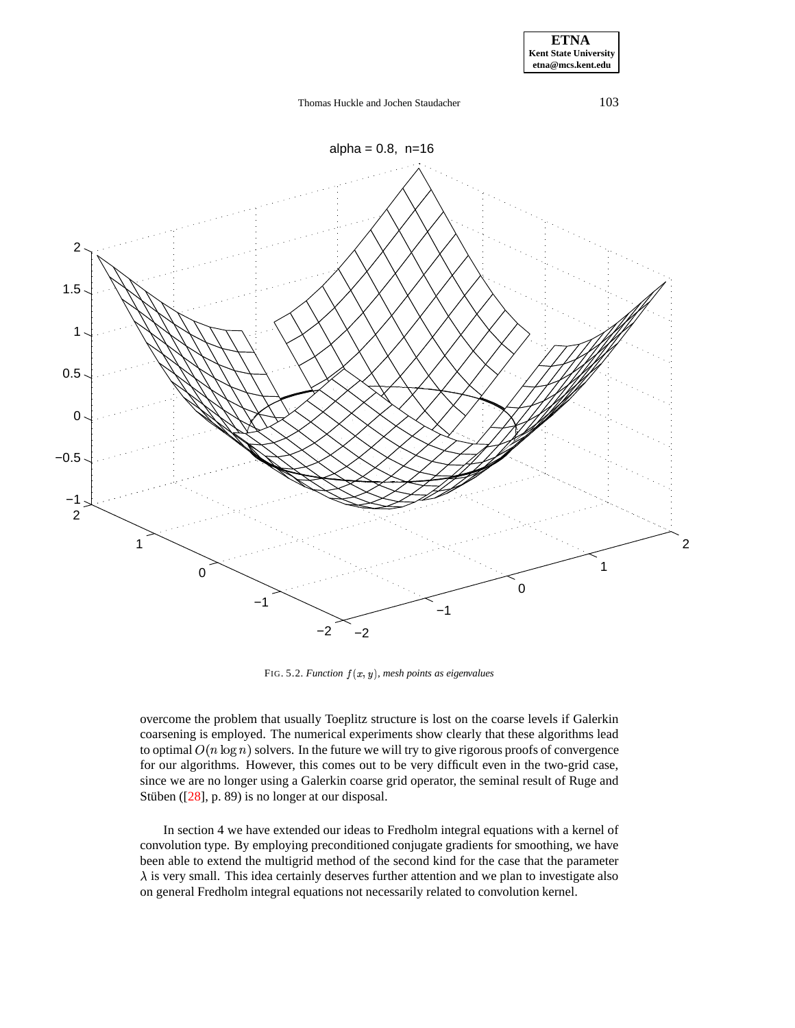**ETNA Kent State University etna@mcs.kent.edu**



 $FIG. 5.2.$  *Function*  $f(x, y)$ *, mesh points as eigenvalues* 

overcome the problem that usually Toeplitz structure is lost on the coarse levels if Galerkin coarsening is employed. The numerical experiments show clearly that these algorithms lead to optimal  $O(n \log n)$  solvers. In the future we will try to give rigorous proofs of convergence for our algorithms. However, this comes out to be very difficult even in the two-grid case, since we are no longer using a Galerkin coarse grid operator, the seminal result of Ruge and Stüben  $(28)$ , p. 89) is no longer at our disposal.

In section 4 we have extended our ideas to Fredholm integral equations with a kernel of convolution type. By employing preconditioned conjugate gradients for smoothing, we have been able to extend the multigrid method of the second kind for the case that the parameter  $\lambda$  is very small. This idea certainly deserves further attention and we plan to investigate also on general Fredholm integral equations not necessarily related to convolution kernel.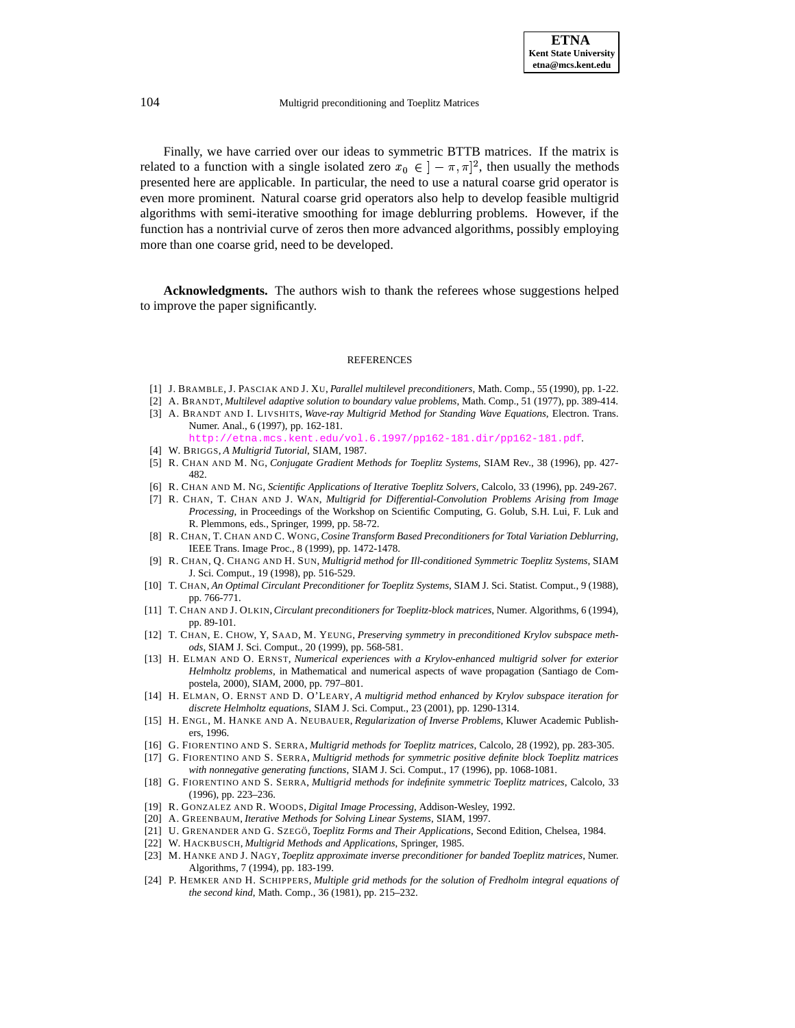Finally, we have carried over our ideas to symmetric BTTB matrices. If the matrix is related to a function with a single isolated zero  $x_0 \in (-\pi, \pi]^2$ , then usually the methods presented here are applicable. In particular, the need to use a natural coarse grid operator is even more prominent. Natural coarse grid operators also help to develop feasible multigrid algorithms with semi-iterative smoothing for image deblurring problems. However, if the function has a nontrivial curve of zeros then more advanced algorithms, possibly employing more than one coarse grid, need to be developed.

**Acknowledgments.** The authors wish to thank the referees whose suggestions helped to improve the paper significantly.

#### **REFERENCES**

- <span id="page-23-10"></span><span id="page-23-2"></span>[1] J. BRAMBLE, J. PASCIAK AND J. XU, *Parallel multilevel preconditioners*, Math. Comp., 55 (1990), pp. 1-22.
- <span id="page-23-9"></span>[2] A. BRANDT, *Multilevel adaptive solution to boundary value problems*, Math. Comp., 51 (1977), pp. 389-414. [3] A. BRANDT AND I. LIVSHITS, *Wave-ray Multigrid Method for Standing Wave Equations*, Electron. Trans. Numer. Anal., 6 (1997), pp. 162-181.
	- tna.mcs.kent.edu/vol.6.1997/pp162-181.dir/pp162-181.pdf
- <span id="page-23-13"></span><span id="page-23-1"></span>[4] W. BRIGGS, *A Multigrid Tutorial*, SIAM, 1987.
- <span id="page-23-14"></span>[5] R. CHAN AND M. NG, *Conjugate Gradient Methods for Toeplitz Systems*, SIAM Rev., 38 (1996), pp. 427- 482.
- <span id="page-23-7"></span>[6] R. CHAN AND M. NG, *Scientific Applications of Iterative Toeplitz Solvers*, Calcolo, 33 (1996), pp. 249-267.
- [7] R. CHAN, T. CHAN AND J. WAN, *Multigrid for Differential-Convolution Problems Arising from Image Processing*, in Proceedings of the Workshop on Scientific Computing, G. Golub, S.H. Lui, F. Luk and R. Plemmons, eds., Springer, 1999, pp. 58-72.
- <span id="page-23-17"></span>[8] R. CHAN, T. CHAN AND C. WONG, *Cosine Transform Based Preconditioners for Total Variation Deblurring*, IEEE Trans. Image Proc., 8 (1999), pp. 1472-1478.
- <span id="page-23-6"></span>[9] R. CHAN, Q. CHANG AND H. SUN, *Multigrid method for Ill-conditioned Symmetric Toeplitz Systems*, SIAM J. Sci. Comput., 19 (1998), pp. 516-529.
- <span id="page-23-12"></span>[10] T. CHAN, *An Optimal Circulant Preconditioner for Toeplitz Systems*, SIAM J. Sci. Statist. Comput., 9 (1988), pp. 766-771.
- <span id="page-23-20"></span>[11] T. CHAN AND J. OLKIN, *Circulant preconditioners for Toeplitz-block matrices*, Numer. Algorithms, 6 (1994), pp. 89-101.
- <span id="page-23-19"></span>[12] T. CHAN, E. CHOW, Y, SAAD, M. YEUNG, *Preserving symmetry in preconditioned Krylov subspace methods*, SIAM J. Sci. Comput., 20 (1999), pp. 568-581.
- <span id="page-23-22"></span>[13] H. ELMAN AND O. ERNST, *Numerical experiences with a Krylov-enhanced multigrid solver for exterior Helmholtz problems*, in Mathematical and numerical aspects of wave propagation (Santiago de Compostela, 2000), SIAM, 2000, pp. 797–801.
- <span id="page-23-23"></span>[14] H. ELMAN, O. ERNST AND D. O'LEARY, *A multigrid method enhanced by Krylov subspace iteration for discrete Helmholtz equations*, SIAM J. Sci. Comput., 23 (2001), pp. 1290-1314.
- <span id="page-23-16"></span>[15] H. ENGL, M. HANKE AND A. NEUBAUER, *Regularization of Inverse Problems*, Kluwer Academic Publishers, 1996.
- <span id="page-23-4"></span><span id="page-23-3"></span>[16] G. FIORENTINO AND S. SERRA, *Multigrid methods for Toeplitz matrices*, Calcolo, 28 (1992), pp. 283-305.
- [17] G. FIORENTINO AND S. SERRA, *Multigrid methods for symmetric positive definite block Toeplitz matrices with nonnegative generating functions*, SIAM J. Sci. Comput., 17 (1996), pp. 1068-1081.
- <span id="page-23-5"></span>[18] G. FIORENTINO AND S. SERRA, *Multigrid methods for indefinite symmetric Toeplitz matrices*, Calcolo, 33 (1996), pp. 223–236.
- <span id="page-23-15"></span><span id="page-23-0"></span>[19] R. GONZALEZ AND R. WOODS, *Digital Image Processing*, Addison-Wesley, 1992.
- <span id="page-23-11"></span>[20] A. GREENBAUM, *Iterative Methods for Solving Linear Systems*, SIAM, 1997.
- <span id="page-23-8"></span>[21] U. GRENANDER AND G. SZEGO¨, *Toeplitz Forms and Their Applications*, Second Edition, Chelsea, 1984.
- <span id="page-23-21"></span>[22] W. HACKBUSCH, *Multigrid Methods and Applications*, Springer, 1985.
- [23] M. HANKE AND J. NAGY, *Toeplitz approximate inverse preconditioner for banded Toeplitz matrices*, Numer. Algorithms, 7 (1994), pp. 183-199.
- <span id="page-23-18"></span>[24] P. HEMKER AND H. SCHIPPERS, *Multiple grid methods for the solution of Fredholm integral equations of the second kind*, Math. Comp., 36 (1981), pp. 215–232.